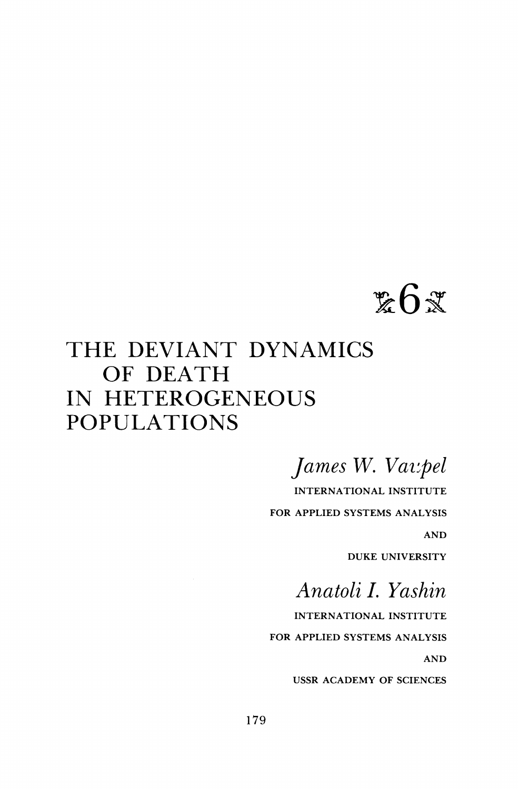# $\&6\&$

# **THE DEVIANT DYNAMICS OF DEATH IN HETEROGENEOUS POPULATIONS**

**James W. Vat:pel** 

**INTERNATIONAL INSTITUTE FOR APPLIED SYSTEMS ANALYSIS AND DUKE UNIVERSITY** 

**Anatoli I. Yashin** 

**INTERNATIONAL INSTITUTE FOR APPLIED SYSTEMS ANALYSIS AND** 

**USSR ACADEMY OF SCIENCES**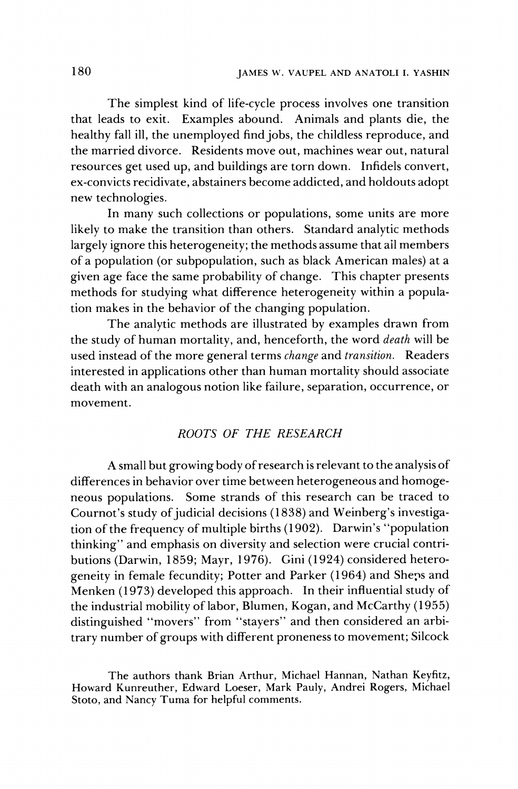**The simplest kind of life-cycle process involves one transition that leads to exit. Examples abound. Animals and plants die, the healthy fall ill, the unemployed find jobs, the childless reproduce, and the married divorce. Residents move out, machines wear out, natural resources get used up, and buildings are torn down. Infidels convert, ex-convicts recidivate, abstainers become addicted, and holdouts adopt new technologies.** 

**In many such collections or populations, some units are more likely to make the transition than others. Standard analytic methods largely ignore this heterogeneity; the methods assume that ail members of a population (or subpopulation, such as black American males) at a given age face the same probability of change. This chapter presents methods for studying what difference heterogeneity within a population makes in the behavior of the changing population.** 

**The analytic methods are illustrated by examples drawn from the study of human mortality, and, henceforth, the word death will be used instead of the more general terms change and transition. Readers interested in applications other than human mortality should associate death with an analogous notion like failure, separation, occurrence, or movement.** 

#### **ROOTS OF THE RESEARCH**

**A small but growing body of research is relevant to the analysis of differences in behavior over time between heterogeneous and homogeneous populations. Some strands of this research can be traced to Cournot's study of judicial decisions (1838) and Weinberg's investigation of the frequency of multiple births (1902). Darwin's "population thinking" and emphasis on diversity and selection were crucial contributions (Darwin, 1859; Mayr, 1976). Gini (1924) considered heterogeneity in female fecundity; Potter and Parker (1964) and Sheps and Menken (1973) developed this approach. In their influential study of the industrial mobility of labor, Blumen, Kogan, and McCarthy (1955) distinguished "movers" from "stayers" and then considered an arbitrary number of groups with different proneness to movement; Silcock** 

**The authors thank Brian Arthur, Michael Hannan, Nathan Keyfitz, Howard Kunreuther, Edward Loeser, Mark Pauly, Andrei Rogers, Michael Stoto, and Nancy Tuma for helpful comments.**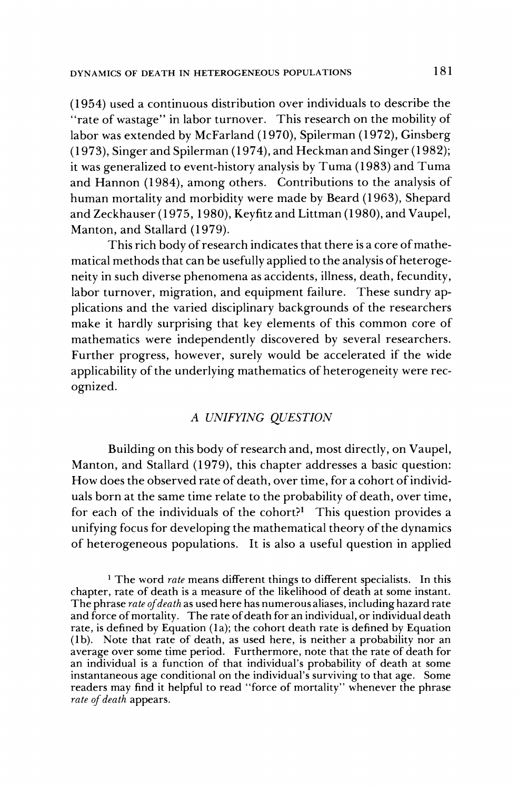**(1954) used a continuous distribution over individuals to describe the "rate of wastage" in labor turnover. This research on the mobility of labor was extended by McFarland (1970), Spilerman (1972), Ginsberg (1973), Singer and Spilerman (1974), and Heckman and Singer (1982); it was generalized to event-history analysis by Tuma (1983) and Tuma and Hannon (1984), among others. Contributions to the analysis of human mortality and morbidity were made by Beard (1963), Shepard and Zeckhauser (1975, 1980), Keyfitz and Littman (1980), and Vaupel, Manton, and Stallard (1979).** 

**This rich body of research indicates that there is a core of mathematical methods that can be usefully applied to the analysis of heterogeneity in such diverse phenomena as accidents, illness, death, fecundity, labor turnover, migration, and equipment failure. These sundry applications and the varied disciplinary backgrounds of the researchers make it hardly surprising that key elements of this common core of mathematics were independently discovered by several researchers. Further progress, however, surely would be accelerated if the wide applicability of the underlying mathematics of heterogeneity were recognized.** 

# **A UNIFYING QUESTION**

**Building on this body of research and, most directly, on Vaupel, Manton, and Stallard (1979), this chapter addresses a basic question: How does the observed rate of death, over time, for a cohort of individuals born at the same time relate to the probability of death, over time, for each of the individuals of the cohort?1 This question provides a unifying focus for developing the mathematical theory of the dynamics of heterogeneous populations. It is also a useful question in applied** 

**1 The word rate means different things to different specialists. In this chapter, rate of death is a measure of the likelihood of death at some instant. The phrase rate of death as used here has numerous aliases, including hazard rate and force of mortality. The rate of death for an individual, or individual death rate, is defined by Equation (la); the cohort death rate is defined by Equation (Ib). Note that rate of death, as used here, is neither a probability nor an average over some time period. Furthermore, note that the rate of death for an individual is a function of that individual's probability of death at some instantaneous age conditional on the individual's surviving to that age. Some readers may find it helpful to read "force of mortality" whenever the phrase rate of death appears.**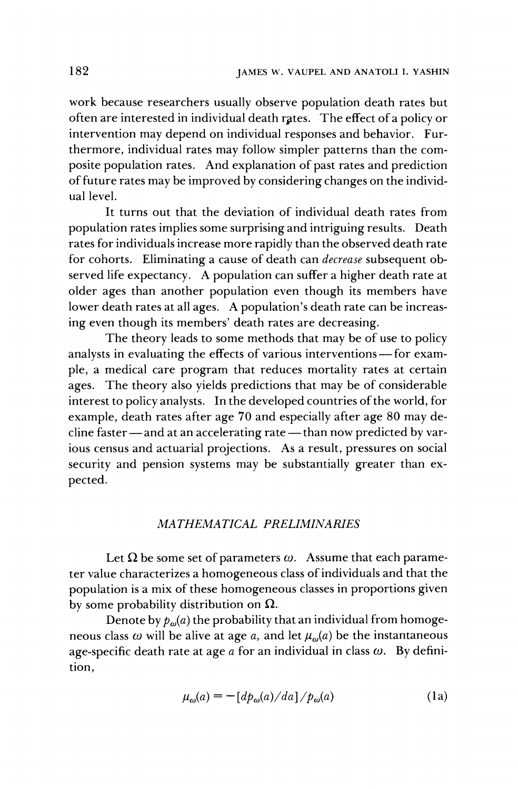**work because researchers usually observe population death rates but**  often are interested in individual death rates. The effect of a policy or **intervention may depend on individual responses and behavior. Furthermore, individual rates may follow simpler patterns than the composite population rates. And explanation of past rates and prediction of future rates may be improved by considering changes on the individual level.** 

**It turns out that the deviation of individual death rates from population rates implies some surprising and intriguing results. Death rates for individuals increase more rapidly than the observed death rate for cohorts. Eliminating a cause of death can decrease subsequent observed life expectancy. A population can suffer a higher death rate at older ages than another population even though its members have lower death rates at all ages. A population's death rate can be increasing even though its members' death rates are decreasing.** 

**The theory leads to some methods that may be of use to policy**  analysts in evaluating the effects of various interventions—for exam**ple, a medical care program that reduces mortality rates at certain ages. The theory also yields predictions that may be of considerable interest to policy analysts. In the developed countries of the world, for example, death rates after age 70 and especially after age 80 may de**cline faster — and at an accelerating rate — than now predicted by var**ious census and actuarial projections. As a result, pressures on social security and pension systems may be substantially greater than expected.** 

#### **MATHEMATICAL PRELIMINARIES**

Let  $\Omega$  be some set of parameters  $\omega$ . Assume that each parame**ter value characterizes a homogeneous class of individuals and that the population is a mix of these homogeneous classes in proportions given**  by some probability distribution on  $\Omega$ .

Denote by  $p_{\omega}(a)$  the probability that an individual from homogeneous class  $\omega$  will be alive at age a, and let  $\mu_{\omega}(a)$  be the instantaneous age-specific death rate at age a for an individual in class  $\omega$ . By defini**tion,** 

$$
\mu_{\omega}(a) = -\left[d p_{\omega}(a)/da\right]/p_{\omega}(a) \tag{1a}
$$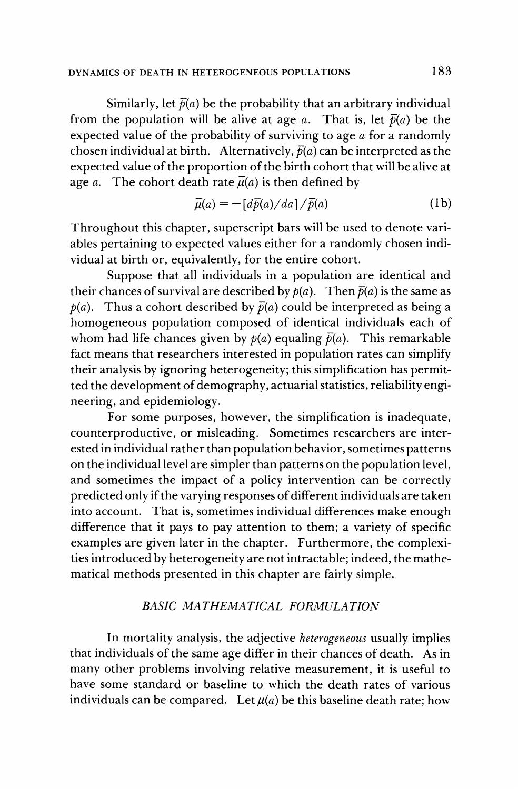#### **DYNAMICS OF DEATH IN HETEROGENEOUS POPULATIONS**

Similarly, let  $\bar{p}(a)$  be the probability that an arbitrary individual from the population will be alive at age *a*. That is, let  $\bar{p}(a)$  be the **expected value of the probability of surviving to age a for a randomly**  chosen individual at birth. Alternatively,  $\bar{p}(a)$  can be interpreted as the **expected value of the proportion of the birth cohort that will be alive at**  age *a*. The cohort death rate  $\overline{\mu}(a)$  is then defined by

$$
\bar{\mu}(a) = -\left[d\bar{p}(a)/da\right]/\bar{p}(a)
$$
 (1b)

**Throughout this chapter, superscript bars will be used to denote variables pertaining to expected values either for a randomly chosen individual at birth or, equivalently, for the entire cohort.** 

**Suppose that all individuals in a population are identical and**  their chances of survival are described by  $p(a)$ . Then  $\bar{p}(a)$  is the same as  $p(a)$ . Thus a cohort described by  $\bar{p}(a)$  could be interpreted as being a **homogeneous population composed of identical individuals each of**  whom had life chances given by  $p(a)$  equaling  $\bar{p}(a)$ . This remarkable **fact means that researchers interested in population rates can simplify their analysis by ignoring heterogeneity; this simplification has permitted the development of demography, actuarial statistics, reliability engineering, and epidemiology.** 

**For some purposes, however, the simplification is inadequate, counterproductive, or misleading. Sometimes researchers are interested in individual rather than population behavior, sometimes patterns on the individual level are simpler than patterns on the population level, and sometimes the impact of a policy intervention can be correctly predicted only if the varying responses of different individuals are taken into account. That is, sometimes individual differences make enough difference that it pays to pay attention to them; a variety of specific examples are given later in the chapter. Furthermore, the complexities introduced by heterogeneity are not intractable; indeed, the mathematical methods presented in this chapter are fairly simple.** 

#### **BASIC MATHEMATICAL FORMULATION**

**In mortality analysis, the adjective heterogeneous usually implies that individuals of the same age differ in their chances of death. As in many other problems involving relative measurement, it is useful to have some standard or baseline to which the death rates of various**  individuals can be compared. Let  $\mu(a)$  be this baseline death rate; how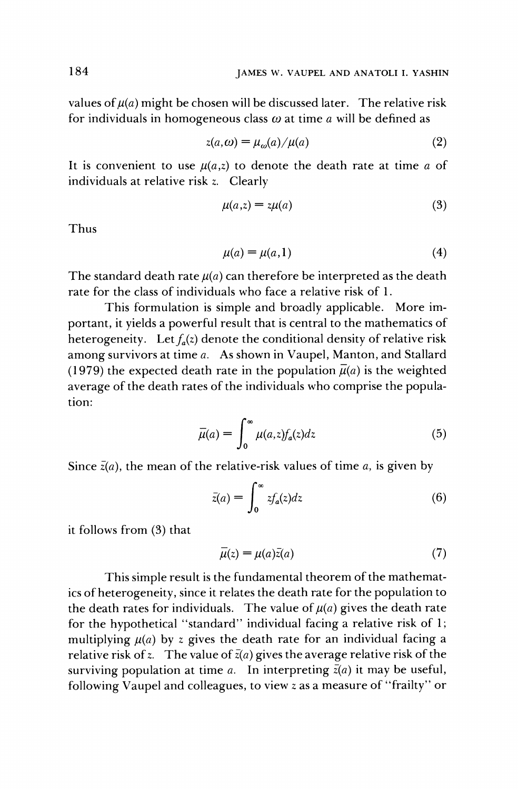values of  $\mu(a)$  might be chosen will be discussed later. The relative risk for individuals in homogeneous class  $\omega$  at time  $\alpha$  will be defined as

$$
z(a,\omega) = \mu_{\omega}(a) / \mu(a) \tag{2}
$$

It is convenient to use  $\mu(a,z)$  to denote the death rate at time a of **individuals at relative risk z. Clearly** 

$$
\mu(a,z) = z\mu(a) \tag{3}
$$

**Thus** 

$$
\mu(a) = \mu(a, 1) \tag{4}
$$

The standard death rate  $\mu(a)$  can therefore be interpreted as the death **rate for the class of individuals who face a relative risk of 1.** 

**This formulation is simple and broadly applicable. More important, it yields a powerful result that is central to the mathematics of**  heterogeneity. Let  $f_a(z)$  denote the conditional density of relative risk **among survivors at time a. As shown in Vaupel, Manton, and Stallard**  (1979) the expected death rate in the population  $\bar{\mu}(a)$  is the weighted **average of the death rates of the individuals who comprise the population:** 

$$
\bar{\mu}(a) = \int_0^\infty \mu(a, z) f_a(z) dz \tag{5}
$$

Since  $\bar{z}(a)$ , the mean of the relative-risk values of time  $a$ , is given by

$$
\bar{z}(a) = \int_0^\infty z f_a(z) dz \tag{6}
$$

**it follows from (3) that** 

$$
\overline{\mu}(z) = \mu(a)\overline{z}(a) \tag{7}
$$

**This simple result is the fundamental theorem of the mathematics of heterogeneity, since it relates the death rate for the population to**  the death rates for individuals. The value of  $\mu(a)$  gives the death rate **for the hypothetical "standard" individual facing a relative risk of 1;**  multiplying  $\mu(a)$  by z gives the death rate for an individual facing a relative risk of z. The value of  $\bar{z}(a)$  gives the average relative risk of the surviving population at time *a*. In interpreting  $\bar{z}(a)$  it may be useful, **following Vaupel and colleagues, to view z as a measure of "frailty" or** 

**184**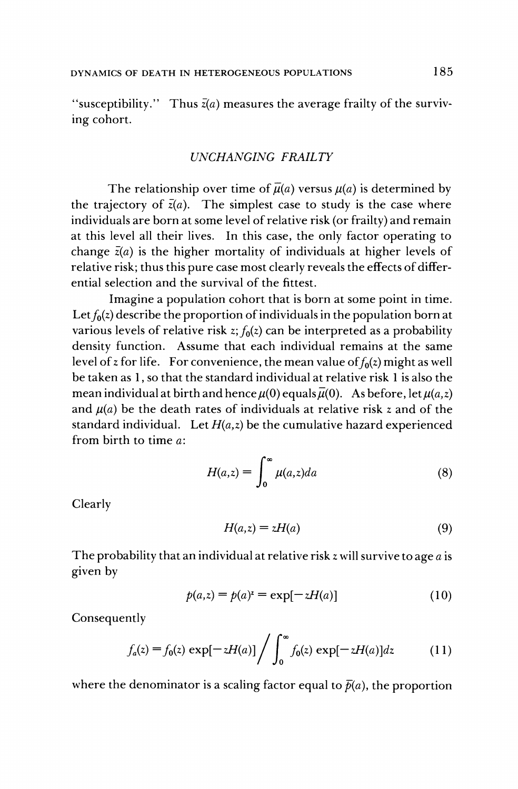"susceptibility." Thus  $\bar{z}(a)$  measures the average frailty of the surviv**ing cohort.** 

#### **UNCHANGING FRAILTY**

The relationship over time of  $\bar{\mu}(a)$  versus  $\mu(a)$  is determined by the trajectory of  $\bar{z}(a)$ . The simplest case to study is the case where **individuals are born at some level of relative risk (or frailty) and remain at this level all their lives. In this case, the only factor operating to**  change  $\bar{z}(a)$  is the higher mortality of individuals at higher levels of **relative risk; thus this pure case most clearly reveals the effects of differential selection and the survival of the fittest.** 

**Imagine a population cohort that is born at some point in time.**  Let  $f_0(z)$  describe the proportion of individuals in the population born at various levels of relative risk  $z$ ;  $f_0(z)$  can be interpreted as a probability **density function. Assume that each individual remains at the same**  level of z for life. For convenience, the mean value of  $f_0(z)$  might as well **be taken as 1, so that the standard individual at relative risk 1 is also the mean individual at birth and hence**  $\mu(0)$  **equals**  $\bar{\mu}(0)$ **.** As before, let  $\mu(a,z)$ and  $\mu(a)$  be the death rates of individuals at relative risk z and of the standard individual. Let  $H(a,z)$  be the cumulative hazard experienced **from birth to time a:** 

$$
H(a,z) = \int_0^\infty \mu(a,z)da \tag{8}
$$

**Clearly** 

$$
H(a,z) = zH(a) \tag{9}
$$

**The probability that an individual at relative risk z will survive to age a is given by** 

$$
p(a,z) = p(a)^{z} = \exp[-zH(a)]
$$
 (10)

**Consequently** 

$$
f_a(z) = f_0(z) \exp[-zH(a)] \bigg/ \int_0^\infty f_0(z) \exp[-zH(a)] dz \qquad (11)
$$

where the denominator is a scaling factor equal to  $\bar{p}(a)$ , the proportion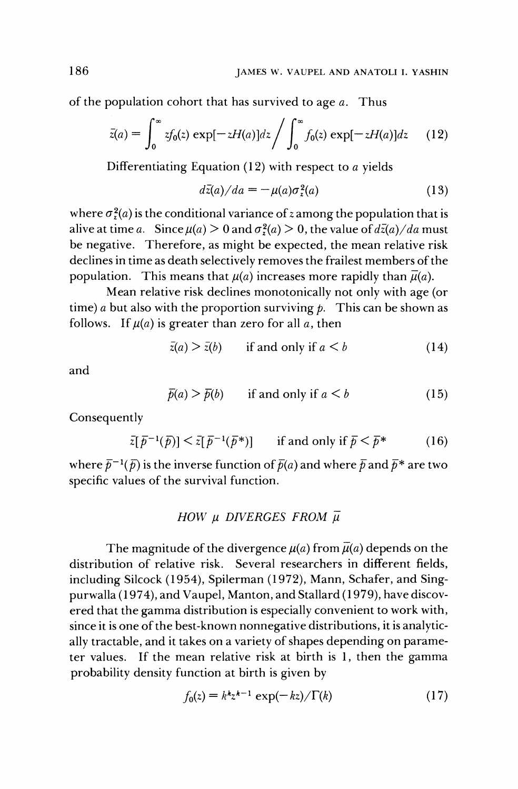**of the population cohort that has survived to age a. Thus** 

$$
\bar{z}(a) = \int_0^\infty z f_0(z) \exp[-zH(a)]dz \bigg/ \int_0^\infty f_0(z) \exp[-zH(a)]dz \qquad (12)
$$

**Differentiating Equation (12) with respect to a yields** 

$$
d\bar{z}(a)/da = -\mu(a)\sigma_z^2(a) \tag{13}
$$

where  $\sigma_z^2(a)$  is the conditional variance of *z* among the population that is alive at time a. Since  $\mu(a) > 0$  and  $\sigma^2(a) > 0$ , the value of  $d\bar{z}(a)/da$  must **be negative. Therefore, as might be expected, the mean relative risk declines in time as death selectively removes the frailest members of the**  population. This means that  $\mu(a)$  increases more rapidly than  $\bar{\mu}(a)$ .

**Mean relative risk declines monotonically not only with age (or**  time) a but also with the proportion surviving  $p$ . This can be shown as follows. If  $\mu(a)$  is greater than zero for all a, then

$$
\bar{z}(a) > \bar{z}(b) \qquad \text{if and only if } a < b \tag{14}
$$

**and** 

$$
\bar{p}(a) > \bar{p}(b) \qquad \text{if and only if } a < b \tag{15}
$$

**Consequently** 

$$
\bar{z}[\bar{p}^{-1}(\bar{p})] < \bar{z}[\bar{p}^{-1}(\bar{p}^*)] \qquad \text{if and only if } \bar{p} < \bar{p}^* \tag{16}
$$

where  $\bar{p}^{-1}(\bar{p})$  is the inverse function of  $\bar{p}(a)$  and where  $\bar{p}$  and  $\bar{p}^*$  are two **specific values of the survival function.** 

### $HOW$   $\mu$  DIVERGES FROM  $\overline{\mu}$

The magnitude of the divergence  $\mu(a)$  from  $\bar{\mu}(a)$  depends on the **distribution of relative risk. Several researchers in different fields, including Silcock (1954), Spilerman (1972), Mann, Schafer, and Singpurwalla (1974), and Vaupel, Manton, and Stallard (1979), have discovered that the gamma distribution is especially convenient to work with, since it is one of the best-known nonnegative distributions, it is analytically tractable, and it takes on a variety of shapes depending on parameter values. If the mean relative risk at birth is 1, then the gamma probability density function at birth is given by** 

$$
f_0(z) = k^k z^{k-1} \exp(-kz) / \Gamma(k)
$$
 (17)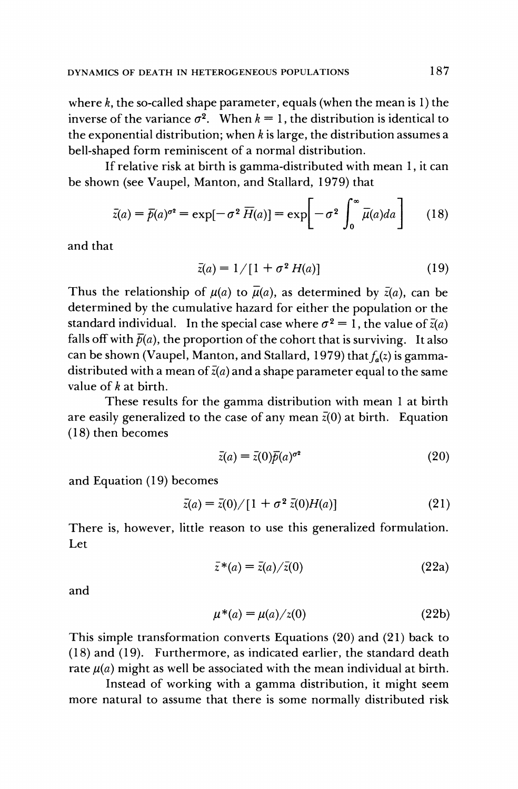**where k, the so-called shape parameter, equals (when the mean is 1) the**  inverse of the variance  $\sigma^2$ . When  $k = 1$ , the distribution is identical to **the exponential distribution; when k is large, the distribution assumes a bell-shaped form reminiscent of a normal distribution.** 

**If relative risk at birth is gamma-distributed with mean 1, it can be shown (see Vaupel, Manton, and Stallard, 1979) that** 

$$
\bar{z}(a) = \bar{p}(a)^{\sigma^2} = \exp[-\sigma^2 \,\overline{H}(a)] = \exp\biggl[-\sigma^2 \int_0^\infty \bar{\mu}(a)da\biggr] \qquad (18)
$$

**and that** 

$$
\bar{z}(a) = 1/[1 + \sigma^2 H(a)] \tag{19}
$$

Thus the relationship of  $\mu(a)$  to  $\bar{\mu}(a)$ , as determined by  $\bar{z}(a)$ , can be **determined by the cumulative hazard for either the population or the**  standard individual. In the special case where  $\sigma^2 = 1$ , the value of  $\bar{z}(a)$ falls off with  $\bar{p}(a)$ , the proportion of the cohort that is surviving. It also can be shown (Vaupel, Manton, and Stallard, 1979) that  $f_a(z)$  is gamma**distributed with a mean of z(a) and a shape parameter equal to the same value of k at birth.** 

**These results for the gamma distribution with mean 1 at birth**  are easily generalized to the case of any mean  $\bar{z}(0)$  at birth. Equation **(18) then becomes** 

$$
\bar{z}(a) = \bar{z}(0)\bar{p}(a)^{\sigma^2} \tag{20}
$$

**and Equation (19) becomes** 

$$
\bar{z}(a) = \bar{z}(0) / [1 + \sigma^2 \bar{z}(0)H(a)] \tag{21}
$$

**There is, however, little reason to use this generalized formulation. Let** 

$$
\bar{z}^*(a) = \bar{z}(a)/\bar{z}(0) \tag{22a}
$$

**and** 

$$
\mu^*(a) = \mu(a)/z(0)
$$
 (22b)

**This simple transformation converts Equations (20) and (21) back to (18) and (19). Furthermore, as indicated earlier, the standard death**  rate  $\mu(a)$  might as well be associated with the mean individual at birth.

**Instead of working with a gamma distribution, it might seem more natural to assume that there is some normally distributed risk**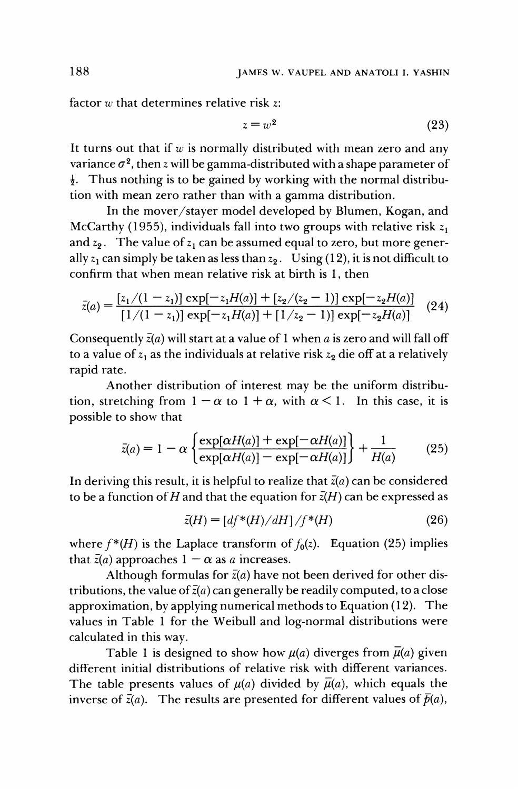**factor w that determines relative risk z:** 

$$
z = w^2 \tag{23}
$$

**It turns out that if w is normally distributed with mean zero and any**  variance  $\sigma^2$ , then z will be gamma-distributed with a shape parameter of **i. Thus nothing is to be gained by working with the normal distribution with mean zero rather than with a gamma distribution.** 

**In the mover/stayer model developed by Blumen, Kogan, and**  McCarthy (1955), individuals fall into two groups with relative risk  $z_1$ and  $z_2$ . The value of  $z_1$  can be assumed equal to zero, but more generally  $z_1$  can simply be taken as less than  $z_2$ . Using (12), it is not difficult to **confirm that when mean relative risk at birth is 1, then** 

$$
\bar{z}(a) = \frac{[z_1/(1-z_1)] \exp[-z_1H(a)] + [z_2/(z_2-1)] \exp[-z_2H(a)]}{[1/(1-z_1)] \exp[-z_1H(a)] + [1/z_2-1)] \exp[-z_2H(a)]}
$$
(24)

Consequently  $\bar{z}(a)$  will start at a value of 1 when a is zero and will fall off to a value of  $z_1$  as the individuals at relative risk  $z_2$  die off at a relatively **rapid rate.** 

**Another distribution of interest may be the uniform distribu**tion, stretching from  $1 - \alpha$  to  $1 + \alpha$ , with  $\alpha < 1$ . In this case, it is **possible to show that** 

$$
\bar{z}(a) = 1 - \alpha \left\{ \frac{\exp[\alpha H(a)] + \exp[-\alpha H(a)]}{\exp[\alpha H(a)] - \exp[-\alpha H(a)]} \right\} + \frac{1}{H(a)} \tag{25}
$$

In deriving this result, it is helpful to realize that  $\bar{z}(a)$  can be considered to be a function of H and that the equation for  $\bar{z}(H)$  can be expressed as

$$
\bar{z}(H) = \left[df^*(H)/dH\right]/f^*(H) \tag{26}
$$

where  $f^*(H)$  is the Laplace transform of  $f_0(z)$ . Equation (25) implies that  $\bar{z}(a)$  approaches  $1 - \alpha$  as a increases.

Although formulas for  $\bar{z}(a)$  have not been derived for other distributions, the value of  $\bar{z}(a)$  can generally be readily computed, to a close **approximation, by applying numerical methods to Equation (12). The values in Table 1 for the Weibull and log-normal distributions were calculated in this way.** 

Table 1 is designed to show how  $\mu(a)$  diverges from  $\bar{\mu}(a)$  given **different initial distributions of relative risk with different variances.**  The table presents values of  $\mu(a)$  divided by  $\bar{\mu}(a)$ , which equals the inverse of  $\bar{z}(a)$ . The results are presented for different values of  $\bar{p}(a)$ ,

**188**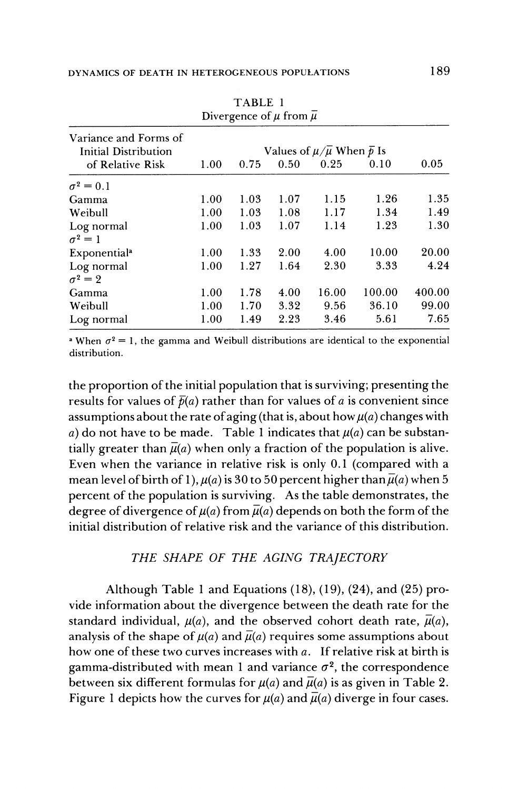|                                               |                                                          |      | $\mathbf{P}$ . $\mathbf{P}$ and $\mathbf{P}$ are $\mathbf{P}$ . |       |        |        |
|-----------------------------------------------|----------------------------------------------------------|------|-----------------------------------------------------------------|-------|--------|--------|
| Variance and Forms of<br>Initial Distribution | Values of $\mu/\overline{\mu}$ When $\overline{\rho}$ Is |      |                                                                 |       |        |        |
| of Relative Risk                              | 1.00                                                     | 0.75 | 0.50                                                            | 0.25  | 0.10   | 0.05   |
| $\sigma^2=0.1$                                |                                                          |      |                                                                 |       |        |        |
| Gamma                                         | 1.00                                                     | 1.03 | 1.07                                                            | 1.15  | 1.26   | 1.35   |
| Weibull                                       | 1.00                                                     | 1.03 | 1.08                                                            | 1.17  | 1.34   | 1.49   |
| Log normal                                    | 1.00                                                     | 1.03 | 1.07                                                            | 1.14  | 1.23   | 1.30   |
| $\sigma^2=1$                                  |                                                          |      |                                                                 |       |        |        |
| <b>Exponential</b> <sup>a</sup>               | 1.00                                                     | 1.33 | 2.00                                                            | 4.00  | 10.00  | 20.00  |
| Log normal                                    | 1.00                                                     | 1.27 | 1.64                                                            | 2.30  | 3.33   | 4.24   |
| $\sigma^2=2$                                  |                                                          |      |                                                                 |       |        |        |
| Gamma                                         | 1.00                                                     | 1.78 | 4.00                                                            | 16.00 | 100.00 | 400.00 |
| Weibull                                       | 1.00                                                     | 1.70 | 3.32                                                            | 9.56  | 36.10  | 99.00  |
| Log normal                                    | 1.00                                                     | 1.49 | 2.23                                                            | 3.46  | 5.61   | 7.65   |

**TABLE 1**  Divergence of  $\mu$  from  $\overline{\mu}$ 

**a** When  $\sigma^2 = 1$ , the gamma and Weibull distributions are identical to the exponential **distribution.** 

**the proportion of the initial population that is surviving; presenting the**  results for values of  $\bar{p}(a)$  rather than for values of a is convenient since assumptions about the rate of aging (that is, about how  $\mu(a)$  changes with a) do not have to be made. Table 1 indicates that  $\mu(a)$  can be substantially greater than  $\bar{\mu}(a)$  when only a fraction of the population is alive. **Even when the variance in relative risk is only 0.1 (compared with a**  mean level of birth of 1),  $\mu(a)$  is 30 to 50 percent higher than  $\overline{\mu}(a)$  when 5 **percent of the population is surviving. As the table demonstrates, the**  degree of divergence of  $\mu(a)$  from  $\bar{\mu}(a)$  depends on both the form of the **initial distribution of relative risk and the variance of this distribution.** 

#### **THE SHAPE OF THE AGING TRAJECTORY**

**Although Table 1 and Equations (18), (19), (24), and (25) provide information about the divergence between the death rate for the**  standard individual,  $\mu(a)$ , and the observed cohort death rate,  $\bar{\mu}(a)$ , analysis of the shape of  $\mu(a)$  and  $\bar{\mu}(a)$  requires some assumptions about **how one of these two curves increases with a. If relative risk at birth is**  gamma-distributed with mean 1 and variance  $\sigma^2$ , the correspondence between six different formulas for  $\mu(a)$  and  $\bar{\mu}(a)$  is as given in Table 2. Figure 1 depicts how the curves for  $u(a)$  and  $\overline{u}(a)$  diverge in four cases.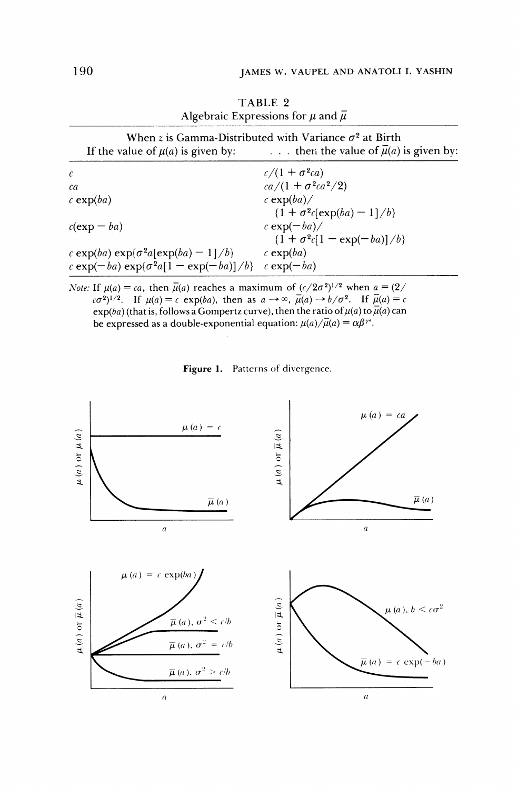| Algebraic Expressions for $\mu$ and $\overline{\mu}$<br>When z is Gamma-Distributed with Variance $\sigma^2$ at Birth<br>then the value of $\bar{\mu}(a)$ is given by:<br>If the value of $\mu(a)$ is given by: |                                                        |  |  |
|-----------------------------------------------------------------------------------------------------------------------------------------------------------------------------------------------------------------|--------------------------------------------------------|--|--|
|                                                                                                                                                                                                                 |                                                        |  |  |
| ca                                                                                                                                                                                                              | $ca/(1 + \sigma^2ca^2/2)$                              |  |  |
| c exp $(ba)$                                                                                                                                                                                                    | c exp $(ba)$<br>$\{1 + \sigma^2 c \in \exp(ba) - 1\}$  |  |  |
| $c(\exp - ba)$                                                                                                                                                                                                  | c exp $(-ba)$<br>$\{1 + \sigma^2 c[1 - \exp(-ba)]/b\}$ |  |  |
| c exp(ba) exp( $\sigma^2$ a[exp(ba) – 1]/b}                                                                                                                                                                     | c exp $(ba)$                                           |  |  |
| c exp( $-ba$ ) exp{ $\sigma^2a[1 - \exp(-ba)]/b$ }                                                                                                                                                              | $c \exp(-ba)$                                          |  |  |

**TABLE 2** 

*Note:* If  $\mu(a) = ca$ , then  $\bar{\mu}(a)$  reaches a maximum of  $(c/2\sigma^2)^{1/2}$  when  $a = (2/2\sigma^2)^{1/2}$  $(\cos^2)^{1/2}$ . If  $\mu(a) = c \exp(ba)$ , then as  $a \to \infty$ ,  $\bar{\mu}(a) \to b/\sigma^2$ . If  $\bar{\mu}(a) = c$  $\exp(ba)$  (that is, follows a Gompertz curve), then the ratio of  $\mu(a)$  to  $\mu(a)$  can **be expressed as a double-exponential equation:**  $\mu(a)/\overline{\mu}(a) = \alpha \beta^{\gamma}$ .

**Figure 1. Patterns of divergence.** 

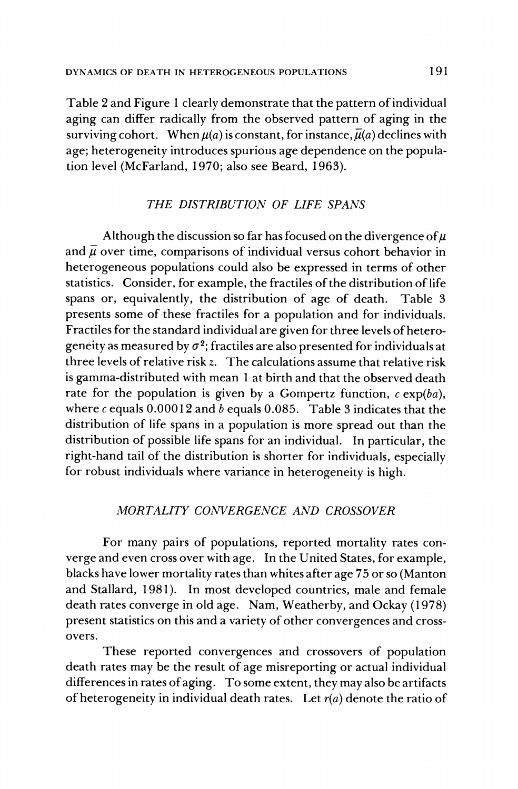**Table 2 and Figure 1 clearly demonstrate that the pattern of individual aging can differ radically from the observed pattern of aging in the**  surviving cohort. When  $\mu(a)$  is constant, for instance,  $\bar{\mu}(a)$  declines with **age; heterogeneity introduces spurious age dependence on the population level (McFarland, 1970; also see Beard, 1963).** 

# **THE DISTRIBUTION OF LIFE SPANS**

Although the discussion so far has focused on the divergence of  $\mu$ and  $\overline{\mu}$  over time, comparisons of individual versus cohort behavior in **heterogeneous populations could also be expressed in terms of other statistics. Consider, for example, the fractiles of the distribution of life**  spans or, equivalently, the distribution of age of death. **presents some of these fractiles for a population and for individuals. Fractiles for the standard individual are given for three levels of hetero**geneity as measured by  $\sigma^2$ ; fractiles are also presented for individuals at **three levels of relative risk z. The calculations assume that relative risk is gamma-distributed with mean 1 at birth and that the observed death**  rate for the population is given by a Gompertz function,  $c \exp(ba)$ , where  $c$  equals  $0.00012$  and  $b$  equals  $0.085$ . Table 3 indicates that the **distribution of life spans in a population is more spread out than the distribution of possible life spans for an individual. In particular, the right-hand tail of the distribution is shorter for individuals, especially for robust individuals where variance in heterogeneity is high.** 

# **MORTALITY CONVERGENCE AND CROSSOVER**

**For many pairs of populations, reported mortality rates converge and even cross over with age. In the United States, for example, blacks have lower mortality rates than whites after age 75 or so (Manton and Stallard, 1981). In most developed countries, male and female death rates converge in old age. Nam, Weatherby, and Ockay (1978) present statistics on this and a variety of other convergences and crossovers.** 

**These reported convergences and crossovers of population death rates may be the result of age misreporting or actual individual differences in rates of aging. To some extent, they may also be artifacts**  of heterogeneity in individual death rates. Let  $r(a)$  denote the ratio of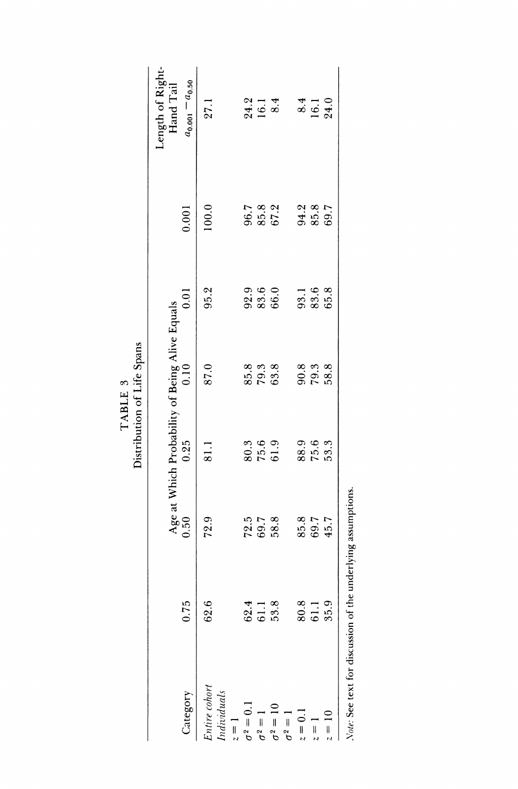|                                                                  |                | Distribution of Life Spans<br>TABLE 3                  |            |      |                |                               |
|------------------------------------------------------------------|----------------|--------------------------------------------------------|------------|------|----------------|-------------------------------|
| ı0<br>$\ddot{0.7}$<br>Category                                   | 0.50           | Age at Which Probability of Being Alive Equals<br>0.25 | 0.10       | 0.01 | 0.001          | Length of Right-<br>Hand Tail |
|                                                                  |                |                                                        |            |      |                | $a_{0.001} - a_{0.50}$        |
| $\ddot{\circ}$<br>62.<br>Entire cohort<br>$Individuals$<br>$z=1$ | 72.9           | 81.1                                                   | 87.0       | 95.2 | 100.0          | 27.1                          |
| 4<br>62.<br>$\sigma^2=0.1$                                       | 72.5           | 80.3                                                   | 85.8       | 92.9 | 96.7           | 24.2                          |
| 61.1<br>$\sigma^2=1$                                             | 69.7           | 75.6                                                   | 79.3       | 83.6 | 85.8           | 16.1                          |
| 53.8<br>$\sigma^2=10$                                            | 58.8           | 61.9                                                   | 63.8       | 66.0 | 67.2           | 8.4                           |
| $\sigma^2=1$                                                     |                |                                                        |            |      |                |                               |
| 80.8<br>$z = 0.1$                                                | 85.8           | 88.9                                                   | 90.8       | 93.1 | 94.2           | 8.4                           |
| 61.1<br>$z=1$                                                    |                |                                                        | $\bf 79.3$ | 83.6 | $85.8$<br>69.7 | 16.1                          |
| 35.9<br>$z = 10$                                                 | $69.7$<br>45.7 | $75.6$<br>$53.3$                                       | 58.8       | 65.8 |                | 24.0                          |
|                                                                  |                |                                                        |            |      |                |                               |
|                                                                  |                |                                                        |            |      |                |                               |
|                                                                  |                |                                                        |            |      |                |                               |
|                                                                  |                |                                                        |            |      |                |                               |
|                                                                  |                |                                                        |            |      |                |                               |
|                                                                  |                |                                                        |            |      |                |                               |
|                                                                  |                |                                                        |            |      |                |                               |
|                                                                  |                |                                                        |            |      |                |                               |
|                                                                  |                |                                                        |            |      |                |                               |

TABLE 3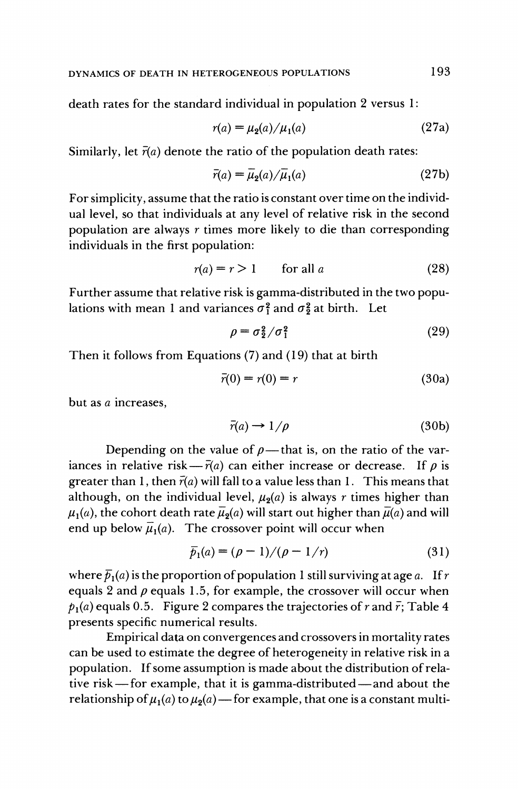**death rates for the standard individual in population 2 versus 1:** 

$$
r(a) = \mu_2(a) / \mu_1(a)
$$
 (27a)

Similarly, let  $\bar{r}(a)$  denote the ratio of the population death rates:

$$
\bar{r}(a) = \bar{\mu}_2(a) / \bar{\mu}_1(a) \tag{27b}
$$

**For simplicity, assume that the ratio is constant over time on the individual level, so that individuals at any level of relative risk in the second population are always r times more likely to die than corresponding individuals in the first population:** 

$$
r(a) = r > 1 \qquad \text{for all } a \tag{28}
$$

**Further assume that relative risk is gamma-distributed in the two popu**lations with mean 1 and variances  $\sigma_1^2$  and  $\sigma_2^2$  at birth. Let

$$
\rho = \sigma_2^2 / \sigma_1^2 \tag{29}
$$

**Then it follows from Equations (7) and (19) that at birth** 

$$
\bar{r}(0) = r(0) = r \tag{30a}
$$

**but as a increases,** 

$$
\bar{r}(a) \to 1/\rho \tag{30b}
$$

Depending on the value of  $\rho$ —that is, on the ratio of the variances in relative risk $-\bar{r}(a)$  can either increase or decrease. If  $\rho$  is **greater than 1, then**  $\bar{r}(a)$  **will fall to a value less than 1. This means that** although, on the individual level,  $\mu_2(a)$  is always r times higher than  $\mu_1(a)$ , the cohort death rate  $\bar{\mu}_2(a)$  will start out higher than  $\bar{\mu}(a)$  and will end up below  $\overline{\mu}_1(a)$ . The crossover point will occur when

$$
\bar{p}_1(a) = (\rho - 1) / (\rho - 1/r) \tag{31}
$$

where  $\bar{p}_1(a)$  is the proportion of population 1 still surviving at age a. If r equals 2 and  $\rho$  equals 1.5, for example, the crossover will occur when  $p_1(a)$  equals 0.5. Figure 2 compares the trajectories of r and  $\bar{r}$ ; Table 4 **presents specific numerical results.** 

**Empirical data on convergences and crossovers in mortality rates can be used to estimate the degree of heterogeneity in relative risk in a population. If some assumption is made about the distribution of rela**tive risk – for example, that it is gamma-distributed – and about the relationship of  $\mu_1(a)$  to  $\mu_2(a)$  — for example, that one is a constant multi-

**193**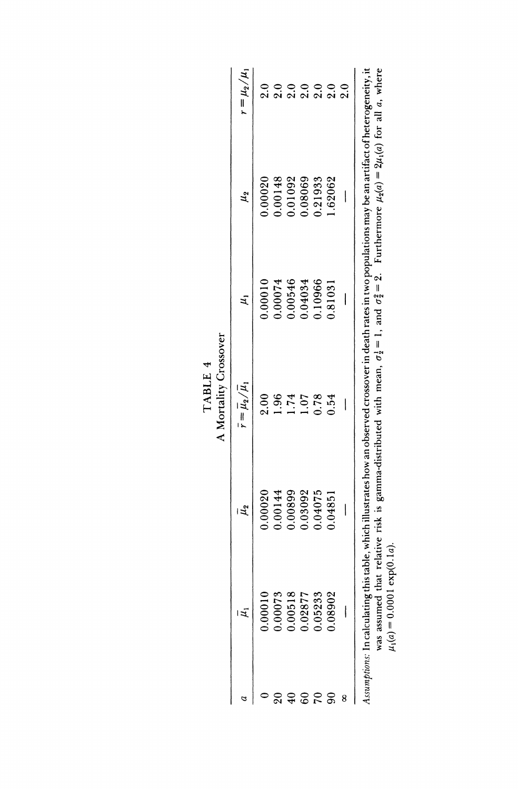|                 |                                 |               | A Mortality Crossover<br>TABLE 4                                                                                                                                                                                                                                          |         |                                                     |                     |
|-----------------|---------------------------------|---------------|---------------------------------------------------------------------------------------------------------------------------------------------------------------------------------------------------------------------------------------------------------------------------|---------|-----------------------------------------------------|---------------------|
| a               | $\mu_1$                         | $\bar{\mu}_2$ | $\bar{r}=\overline{\mu}_2/\mu_1$                                                                                                                                                                                                                                          | $\mu$   | $\mu_{2}$                                           | $r = \mu_2 / \mu_1$ |
| $\circ$         | 0.00010                         | 0.00020       | 2.00                                                                                                                                                                                                                                                                      | 0.00010 | 0.00020                                             | 2.0                 |
| $20\,$          | 0.00073                         | 0.00144       | 1.96                                                                                                                                                                                                                                                                      | 0.00074 | 0.00148                                             | 2.0                 |
| $\overline{40}$ | $0.00518$<br>$0.02877$          | 0.00899       | 1.74                                                                                                                                                                                                                                                                      | 0.00546 | 0.01092                                             | 2.0                 |
| $\mbox{60}$     |                                 | 0.03092       | 1.07                                                                                                                                                                                                                                                                      | 0.04034 | 0.08069                                             | 2.0                 |
| $\sim$          | 0.05233                         | 0.04075       | 0.78                                                                                                                                                                                                                                                                      | 0.10966 | 0.21933                                             | 2.0                 |
| $90\,$          | 0.08902                         | 0.04851       | 0.54                                                                                                                                                                                                                                                                      | 0.81031 | 1.62062                                             | 2.0                 |
| 8               | Τ.                              |               |                                                                                                                                                                                                                                                                           |         |                                                     | 2.0                 |
|                 | $\mu_1(a) = 0.0001 \exp(0.1a).$ |               | Assumptions: In calculating this table, which illustrates how an observed crossover in death rates in two populations may be an artifact of heterogeneity, it<br>was assumed that relative risk is gamma-distributed with mean, $\sigma_2^1 = 1$ , and $\sigma_2^2 = 2$ . |         | Furthermore $\mu_2(a) = 2\mu_1(a)$ for all a, where |                     |
|                 |                                 |               |                                                                                                                                                                                                                                                                           |         |                                                     |                     |
|                 |                                 |               |                                                                                                                                                                                                                                                                           |         |                                                     |                     |
|                 |                                 |               |                                                                                                                                                                                                                                                                           |         |                                                     |                     |
|                 |                                 |               |                                                                                                                                                                                                                                                                           |         |                                                     |                     |
|                 |                                 |               |                                                                                                                                                                                                                                                                           |         |                                                     |                     |
|                 |                                 |               |                                                                                                                                                                                                                                                                           |         |                                                     |                     |

| $\ddot{\phantom{1}}$ | š      |
|----------------------|--------|
| 니                    | ĩ      |
| ₽<br>¢               | t      |
|                      | :<br>; |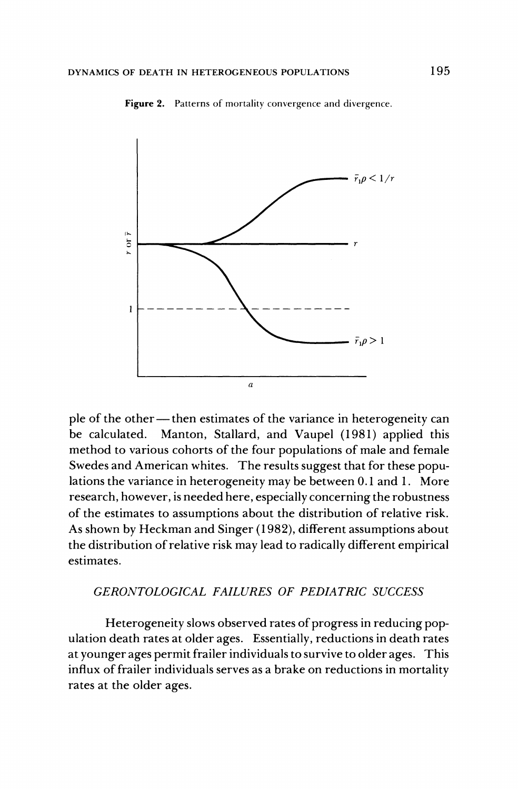

**Figure 2. Patterns of mortality convergence and divergence.** 

ple of the other — then estimates of the variance in heterogeneity can **be calculated. Manton, Stallard, and Vaupel (1981) applied this method to various cohorts of the four populations of male and female Swedes and American whites. The results suggest that for these populations the variance in heterogeneity may be between 0.1 and 1. More research, however, is needed here, especially concerning the robustness of the estimates to assumptions about the distribution of relative risk. As shown by Heckman and Singer (1982), different assumptions about the distribution of relative risk may lead to radically different empirical estimates.** 

#### **GERONTOLOGICAL FAILURES OF PEDIATRIC SUCCESS**

**Heterogeneity slows observed rates of progress in reducing population death rates at older ages. Essentially, reductions in death rates at younger ages permit frailer individuals to survive to older ages. This influx of frailer individuals serves as a brake on reductions in mortality rates at the older ages.**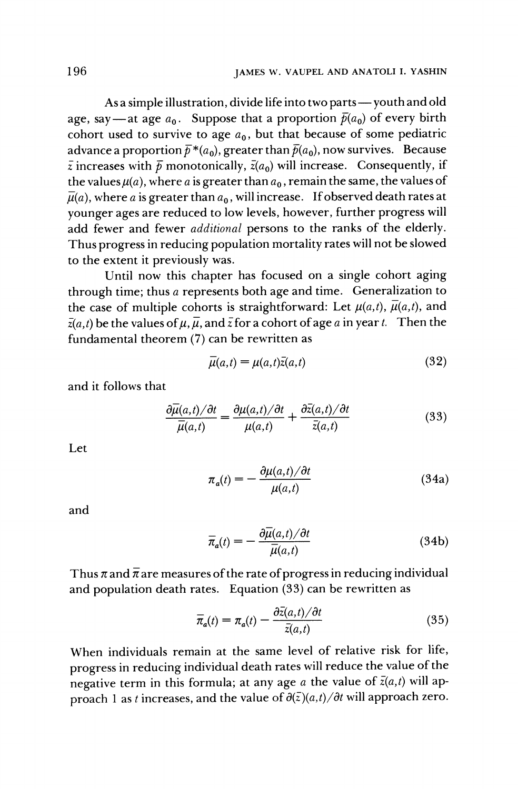As a simple illustration, divide life into two parts — youth and old age, say—at age  $a_0$ . Suppose that a proportion  $\bar{p}(a_0)$  of every birth cohort used to survive to age  $a_0$ , but that because of some pediatric advance a proportion  $\bar{p}^*(a_0)$ , greater than  $\bar{p}(a_0)$ , now survives. Because  $\bar{z}$  increases with  $\bar{p}$  monotonically,  $\bar{z}(a_0)$  will increase. Consequently, if the values  $\mu(a)$ , where a is greater than  $a_0$ , remain the same, the values of  $\bar{\mu}(a)$ , where a is greater than  $a_0$ , will increase. If observed death rates at **younger ages are reduced to low levels, however, further progress will add fewer and fewer additional persons to the ranks of the elderly. Thus progress in reducing population mortality rates will not be slowed to the extent it previously was.** 

**Until now this chapter has focused on a single cohort aging through time; thus a represents both age and time. Generalization to**  the case of multiple cohorts is straightforward: Let  $\mu(a,t)$ ,  $\bar{\mu}(a,t)$ , and  $\bar{z}(a,t)$  be the values of  $\mu$ ,  $\bar{\mu}$ , and  $\bar{z}$  for a cohort of age a in year t. Then the **fundamental theorem (7) can be rewritten as** 

$$
\overline{\mu}(a,t) = \mu(a,t)\overline{z}(a,t) \tag{32}
$$

**and it follows that** 

$$
\frac{\partial \overline{\mu}(a,t)/\partial t}{\overline{\mu}(a,t)} = \frac{\partial \mu(a,t)/\partial t}{\mu(a,t)} + \frac{\partial \overline{z}(a,t)/\partial t}{\overline{z}(a,t)}
$$
(33)

**Let** 

$$
\pi_a(t) = -\frac{\partial \mu(a,t)/\partial t}{\mu(a,t)}
$$
(34a)

**and** 

$$
\overline{\pi}_a(t) = -\frac{\partial \overline{\mu}(a,t)/\partial t}{\overline{\mu}(a,t)}
$$
(34b)

Thus  $\pi$  and  $\bar{\pi}$  are measures of the rate of progress in reducing individual **and population death rates. Equation (33) can be rewritten as** 

$$
\overline{\pi}_a(t) = \pi_a(t) - \frac{\partial \overline{z}(a,t)/\partial t}{\overline{z}(a,t)}
$$
(35)

**When individuals remain at the same level of relative risk for life, progress in reducing individual death rates will reduce the value of the**  negative term in this formula; at any age a the value of  $\bar{z}(a,t)$  will approach 1 as t increases, and the value of  $\partial(\bar{z})(a,t)/\partial t$  will approach zero.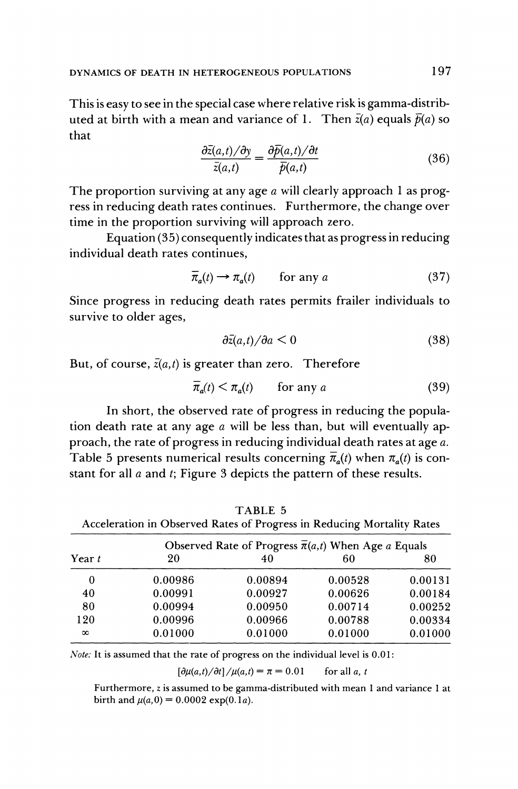**This is easy to see in the special case where relative risk is gamma-distrib**uted at birth with a mean and variance of 1. Then  $\bar{z}(a)$  equals  $\bar{p}(a)$  so **that** 

$$
\frac{\partial \bar{z}(a,t)/\partial y}{\bar{z}(a,t)} = \frac{\partial \bar{p}(a,t)/\partial t}{\bar{p}(a,t)}
$$
(36)

**The proportion surviving at any age a will clearly approach 1 as progress in reducing death rates continues. Furthermore, the change over time in the proportion surviving will approach zero.** 

**Equation (35) consequently indicates that as progress in reducing individual death rates continues,** 

$$
\overline{\pi}_a(t) \to \pi_a(t) \qquad \text{for any } a \tag{37}
$$

**Since progress in reducing death rates permits frailer individuals to survive to older ages,** 

$$
\partial \bar{z}(a,t)/\partial a \le 0 \tag{38}
$$

**But, of course, z(a,t) is greater than zero. Therefore** 

$$
\overline{\pi}_a(t) < \pi_a(t) \qquad \text{for any } a \tag{39}
$$

**In short, the observed rate of progress in reducing the population death rate at any age a will be less than, but will eventually approach, the rate of progress in reducing individual death rates at age a.**  Table 5 presents numerical results concerning  $\overline{\pi}_a(t)$  when  $\pi_a(t)$  is con**stant for all a and t; Figure 3 depicts the pattern of these results.** 

**TABLE 5** 

|          |         | Observed Rate of Progress $\overline{\pi}(a,t)$ When Age a Equals |         |         |  |
|----------|---------|-------------------------------------------------------------------|---------|---------|--|
| Year $t$ | 20      | 40                                                                | 60      | 80      |  |
| 0        | 0.00986 | 0.00894                                                           | 0.00528 | 0.00131 |  |
| 40       | 0.00991 | 0.00927                                                           | 0.00626 | 0.00184 |  |
| 80       | 0.00994 | 0.00950                                                           | 0.00714 | 0.00252 |  |
| 120      | 0.00996 | 0.00966                                                           | 0.00788 | 0.00334 |  |
| $\infty$ | 0.01000 | 0.01000                                                           | 0.01000 | 0.01000 |  |

**Acceleration in Observed Rates of Progress in Reducing Mortality Rates** 

**Note: It is assumed that the rate of progress on the individual level is 0.01:** 

 $\left[\frac{\partial \mu(a,t)}{\partial t}\right] / \mu(a,t) = \pi = 0.01$  for all a, t

**Furthermore, z is assumed to be gamma-distributed with mean 1 and variance 1 at**  birth and  $\mu(a, 0) = 0.0002 \exp(0.1a)$ .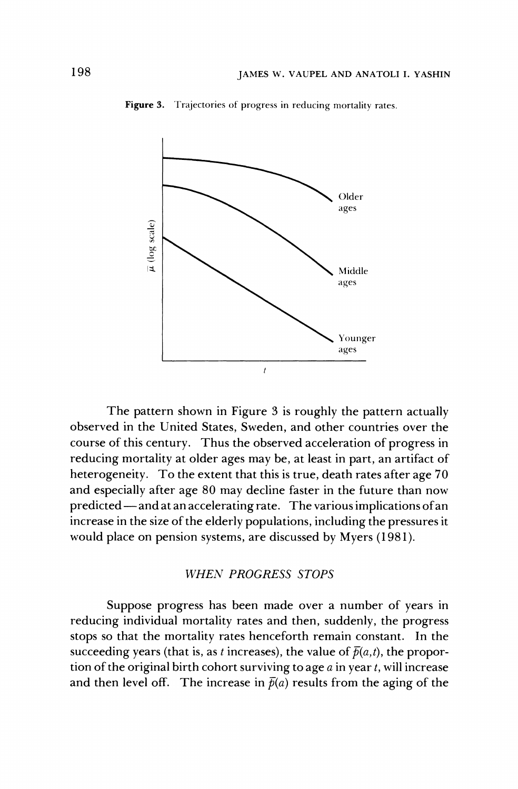

**Figure 3. Trajectories of progress in reducing mortality rates.** 

**The pattern shown in Figure 3 is roughly the pattern actually observed in the United States, Sweden, and other countries over the course of this century. Thus the observed acceleration of progress in reducing mortality at older ages may be, at least in part, an artifact of heterogeneity. To the extent that this is true, death rates after age 70 and especially after age 80 may decline faster in the future than now predicted - and at an accelerating rate. The various implications of an increase in the size of the elderly populations, including the pressures it would place on pension systems, are discussed by Myers (1981).** 

#### **WHEN PROGRESS STOPS**

**Suppose progress has been made over a number of years in reducing individual mortality rates and then, suddenly, the progress stops so that the mortality rates henceforth remain constant. In the**  succeeding years (that is, as t increases), the value of  $\bar{p}(a,t)$ , the propor**tion of the original birth cohort surviving to age a in year t, will increase**  and then level off. The increase in  $\bar{p}(a)$  results from the aging of the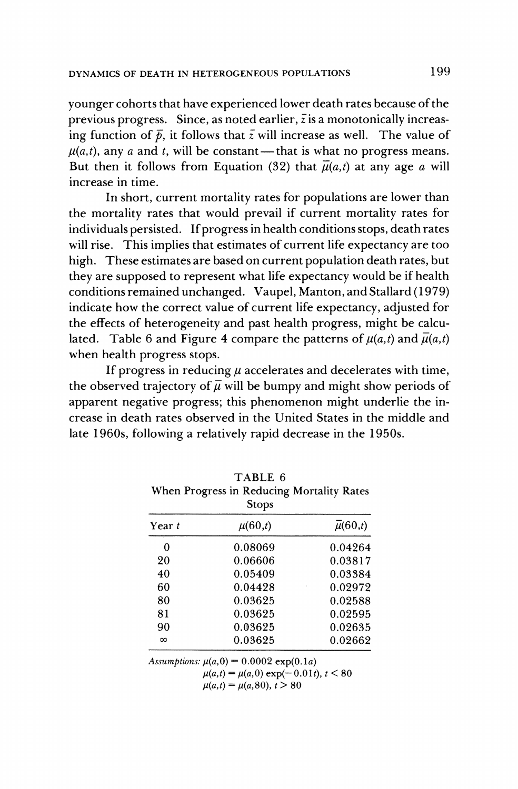**younger cohorts that have experienced lower death rates because of the previous progress. Since, as noted earlier, zis a monotonically increas**ing function of  $\bar{p}$ , it follows that  $\bar{z}$  will increase as well. The value of  $\mu(a,t)$ , any a and t, will be constant--that is what no progress means. But then it follows from Equation (32) that  $\overline{\mu}(a,t)$  at any age a will **increase in time.** 

**In short, current mortality rates for populations are lower than the mortality rates that would prevail if current mortality rates for individuals persisted. If progress in health conditions stops, death rates will rise. This implies that estimates of current life expectancy are too high. These estimates are based on current population death rates, but they are supposed to represent what life expectancy would be if health conditions remained unchanged. Vaupel, Manton, and Stallard (1979) indicate how the correct value of current life expectancy, adjusted for the effects of heterogeneity and past health progress, might be calcu**lated. Table 6 and Figure 4 compare the patterns of  $\mu(a,t)$  and  $\bar{\mu}(a,t)$ **when health progress stops.** 

If progress in reducing  $\mu$  accelerates and decelerates with time, the observed trajectory of  $\overline{\mu}$  will be bumpy and might show periods of **apparent negative progress; this phenomenon might underlie the increase in death rates observed in the United States in the middle and late 1960s, following a relatively rapid decrease in the 1950s.** 

**TABLE 6** 

|          | When Progress in Reducing Mortality Rates<br><b>Stops</b> |                        |
|----------|-----------------------------------------------------------|------------------------|
| Year t   | $\mu(60,t)$                                               | $\overline{\mu}(60,t)$ |
| 0        | 0.08069                                                   | 0.04264                |
| 20       | 0.06606                                                   | 0.03817                |
| 40       | 0.05409                                                   | 0.03384                |
| 60       | 0.04428                                                   | 0.02972                |
| 80       | 0.03625                                                   | 0.02588                |
| 81       | 0.03625                                                   | 0.02595                |
| 90       | 0.03625                                                   | 0.02635                |
| $\infty$ | 0.03625                                                   | 0.02662                |

Assumptions:  $\mu(a,0) = 0.0002 \exp(0.1a)$  $\mu(a,t) = \mu(a,0) \exp(-0.01t), t \leq 80$  $\mu(a,t) = \mu(a,80), t > 80$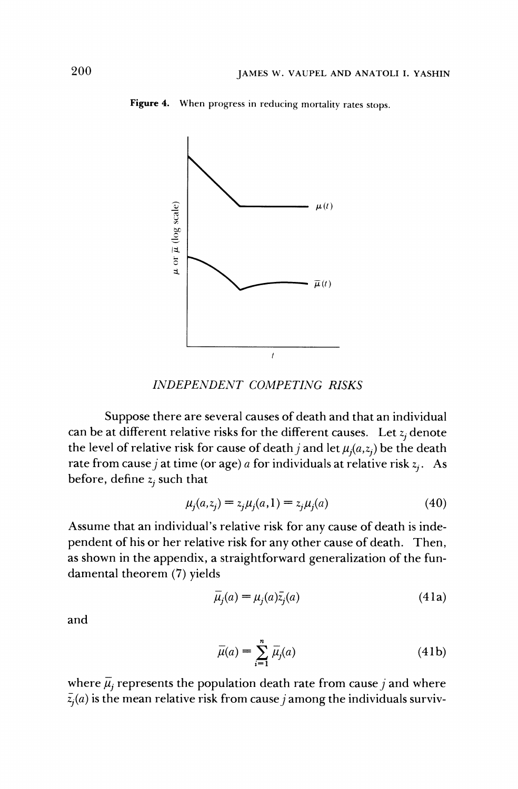

**Figure 4. When progress in reducing mortality rates stops.** 

**INDEPENDENT COMPETING RISKS** 

**Suppose there are several causes of death and that an individual**  can be at different relative risks for the different causes. Let  $z_i$  denote the level of relative risk for cause of death *j* and let  $\mu_j(a,z_j)$  be the death rate from cause *j* at time (or age) *a* for individuals at relative risk  $z_i$ . As **before, define**  $z_i$  **such that** 

$$
\mu_j(a, z_j) = z_j \mu_j(a, 1) = z_j \mu_j(a) \tag{40}
$$

**Assume that an individual's relative risk for any cause of death is independent of his or her relative risk for any other cause of death. Then, as shown in the appendix, a straightforward generalization of the fundamental theorem (7) yields** 

$$
\overline{\mu}_j(a) = \mu_j(a)\overline{z}_j(a) \tag{41a}
$$

**and** 

$$
\overline{\mu}(a) = \sum_{i=1}^{n} \overline{\mu}_j(a) \tag{41b}
$$

where  $\bar{\mu}_i$  represents the population death rate from cause *j* and where  $\bar{z}_j(a)$  is the mean relative risk from cause *j* among the individuals surviv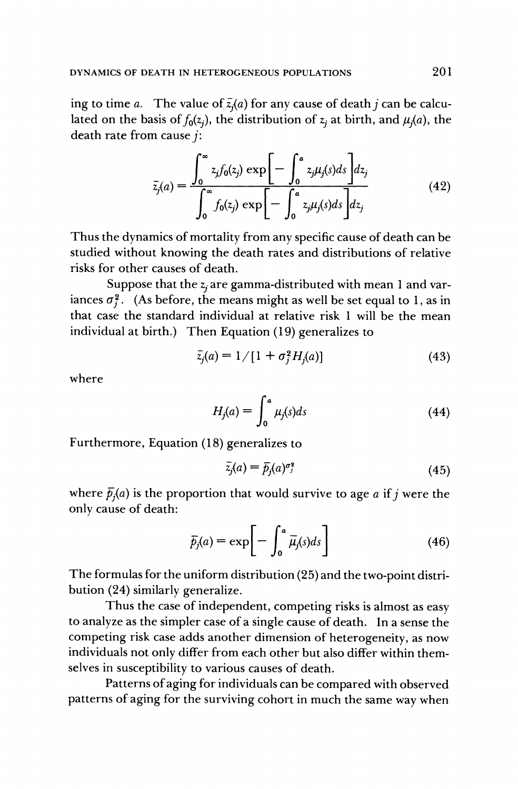ing to time *a*. The value of  $\overline{z}(a)$  for any cause of death *j* can be calculated on the basis of  $f_0(z_i)$ , the distribution of  $z_i$  at birth, and  $\mu_i(a)$ , the **death rate from cause j:** 

$$
\bar{z}_j(a) = \frac{\int_0^\infty z_j f_0(z_j) \exp\left[-\int_0^a z_j \mu_j(s) ds\right] dz_j}{\int_0^\infty f_0(z_j) \exp\left[-\int_0^a z_j \mu_j(s) ds\right] dz_j}
$$
(42)

**Thus the dynamics of mortality from any specific cause of death can be studied without knowing the death rates and distributions of relative risks for other causes of death.** 

Suppose that the z<sub>i</sub> are gamma-distributed with mean 1 and variances  $\sigma_i^2$ . (As before, the means might as well be set equal to 1, as in **that case the standard individual at relative risk 1 will be the mean individual at birth.) Then Equation (19) generalizes to** 

$$
\bar{z}_j(a) = 1/[1 + \sigma_j^2 H_j(a)] \tag{43}
$$

**where** 

$$
H_j(a) = \int_0^a \mu_j(s)ds \tag{44}
$$

**Furthermore, Equation (18) generalizes to** 

$$
\bar{z}_j(a) = \bar{p}_j(a)^{\sigma_j^2} \tag{45}
$$

where  $\bar{p}_i(a)$  is the proportion that would survive to age a if j were the **only cause of death:** 

$$
\bar{p}_j(a) = \exp\bigg[-\int_0^a \bar{\mu}_j(s)ds\bigg] \tag{46}
$$

**The formulas for the uniform distribution (25) and the two-point distribution (24) similarly generalize.** 

**Thus the case of independent, competing risks is almost as easy to analyze as the simpler case of a single cause of death. In a sense the competing risk case adds another dimension of heterogeneity, as now individuals not only differ from each other but also differ within themselves in susceptibility to various causes of death.** 

**Patterns of aging for individuals can be compared with observed patterns of aging for the surviving cohort in much the same way when**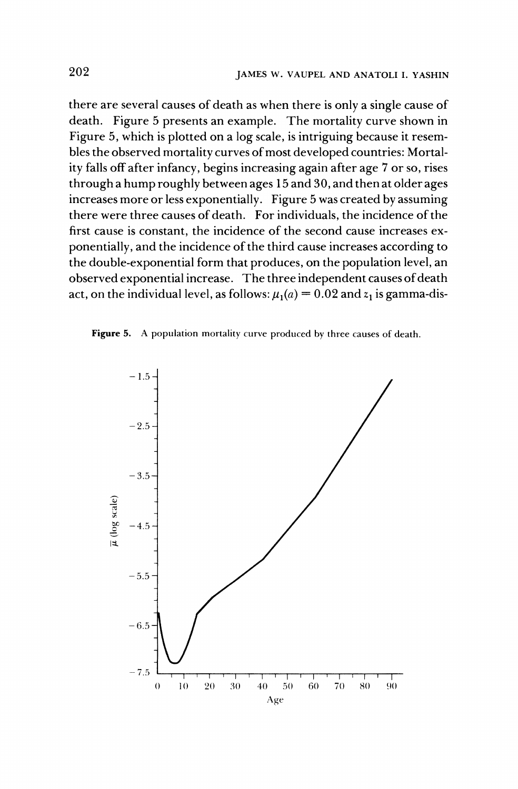**there are several causes of death as when there is only a single cause of death. Figure 5 presents an example. The mortality curve shown in Figure 5, which is plotted on a log scale, is intriguing because it resembles the observed mortality curves of most developed countries: Mortality falls off after infancy, begins increasing again after age 7 or so, rises through a hump roughly between ages 15 and 30, and then at older ages increases more or less exponentially. Figure 5 was created by assuming there were three causes of death. For individuals, the incidence of the first cause is constant, the incidence of the second cause increases exponentially, and the incidence of the third cause increases according to the double-exponential form that produces, on the population level, an observed exponential increase. The three independent causes of death**  act, on the individual level, as follows:  $\mu_1(a) = 0.02$  and  $z_1$  is gamma-dis-

**Figure 5. A population mortality curve produced by three causes of death.** 

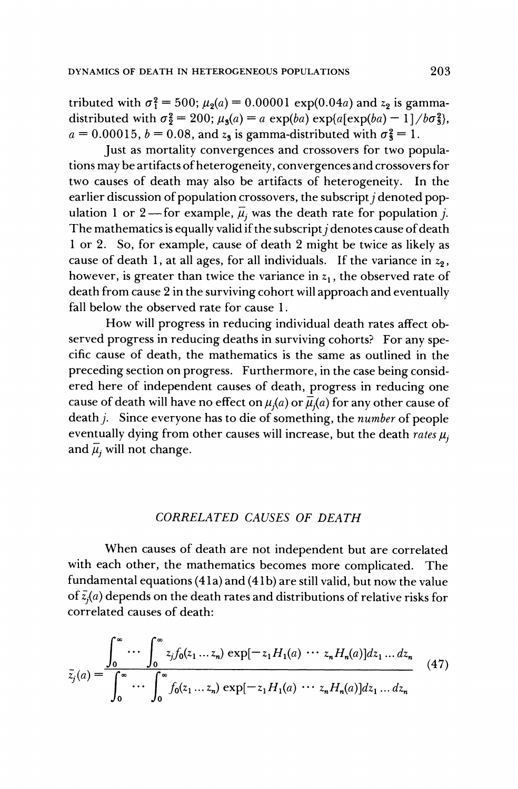tributed with  $\sigma_1^2 = 500$ ;  $\mu_2(a) = 0.00001 \exp(0.04a)$  and  $z_2$  is gammadistributed with  $\sigma^2 = 200$ ;  $\mu_3(a) = a \exp(ba) \exp(a[\exp(ba) - 1]/b\sigma^2_3)$ ,  $a = 0.00015$ ,  $b = 0.08$ , and  $z_3$  is gamma-distributed with  $\sigma_3^2 = 1$ .

**Just as mortality convergences and crossovers for two populations may be artifacts of heterogeneity, convergences and crossovers for**  two causes of death may also be artifacts of heterogeneity. earlier discussion of population crossovers, the subscript *j* denoted population 1 or 2—for example,  $\overline{\mu}_i$  was the death rate for population *j*. The mathematics is equally valid if the subscript *j* denotes cause of death **1 or 2. So, for example, cause of death 2 might be twice as likely as**  cause of death 1, at all ages, for all individuals. If the variance in  $z_2$ , however, is greater than twice the variance in  $z<sub>1</sub>$ , the observed rate of **death from cause 2 in the surviving cohort will approach and eventually fall below the observed rate for cause 1.** 

**How will progress in reducing individual death rates affect observed progress in reducing deaths in surviving cohorts? For any specific cause of death, the mathematics is the same as outlined in the preceding section on progress. Furthermore, in the case being considered here of independent causes of death, progress in reducing one**  cause of death will have no effect on  $\mu_i(a)$  or  $\bar{\mu}_i(a)$  for any other cause of death *j*. Since everyone has to die of something, the *number* of people eventually dying from other causes will increase, but the death rates  $\mu$ , and  $\overline{\mu}_i$  will not change.

# **CORRELATED CAUSES OF DEATH**

**When causes of death are not independent but are correlated with each other, the mathematics becomes more complicated. The**  fundamental equations (41a) and (41b) are still valid, but now the value **of z(a) depends on the death rates and distributions of relative risks for correlated causes of death:** 

$$
\bar{z}_j(a) = \int_0^\infty \cdots \int_0^\infty z_j f_0(z_1 \dots z_n) \exp[-z_1 H_1(a) \dots z_n H_n(a)] dz_1 \dots dz_n
$$
\n
$$
\bar{z}_j(a) = \int_0^\infty \cdots \int_0^\infty f_0(z_1 \dots z_n) \exp[-z_1 H_1(a) \dots z_n H_n(a)] dz_1 \dots dz_n
$$
\n(47)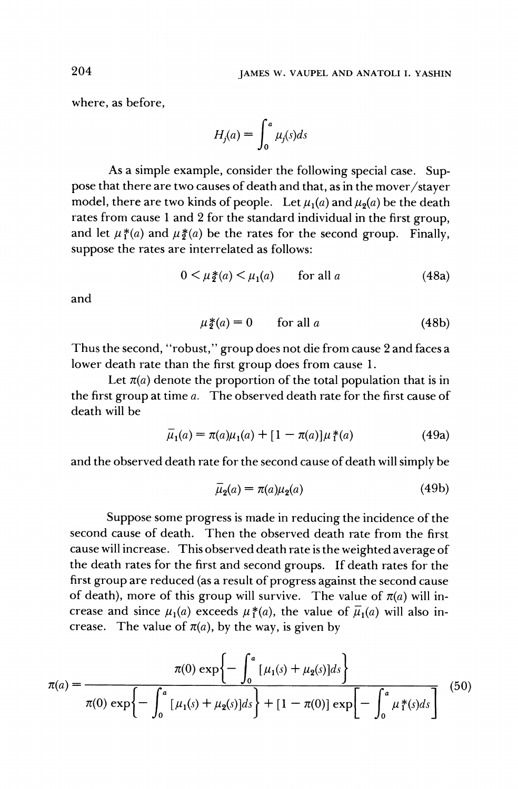**where, as before,** 

$$
H_j(a) = \int_0^a \mu_j(s)ds
$$

**As a simple example, consider the following special case. Suppose that there are two causes of death and that, as in the mover/stayer**  model, there are two kinds of people. Let  $\mu_1(a)$  and  $\mu_2(a)$  be the death **rates from cause 1 and 2 for the standard individual in the first group,**  and let  $\mu^*(a)$  and  $\mu^*(a)$  be the rates for the second group. Finally, **suppose the rates are interrelated as follows:** 

$$
0 < \mu_{\mathfrak{Z}}(a) < \mu_1(a) \qquad \text{for all } a \tag{48a}
$$

**and** 

$$
\mu_{2}^{*}(a) = 0 \qquad \text{for all } a \tag{48b}
$$

**Thus the second, "robust," group does not die from cause 2 and faces a lower death rate than the first group does from cause 1.** 

Let  $\pi(a)$  denote the proportion of the total population that is in **the first group at time a. The observed death rate for the first cause of death will be** 

$$
\bar{\mu}_1(a) = \pi(a)\mu_1(a) + [1 - \pi(a)]\mu_1^*(a)
$$
\n(49a)

**and the observed death rate for the second cause of death will simply be** 

$$
\overline{\mu}_2(a) = \pi(a)\mu_2(a) \tag{49b}
$$

**Suppose some progress is made in reducing the incidence of the second cause of death. Then the observed death rate from the first cause will increase. This observed death rate is the weighted average of the death rates for the first and second groups. If death rates for the first group are reduced (as a result of progress against the second cause**  of death), more of this group will survive. The value of  $\pi(a)$  will increase and since  $\mu_1(a)$  exceeds  $\mu_1^*(a)$ , the value of  $\bar{\mu}_1(a)$  will also increase. The value of  $\pi(a)$ , by the way, is given by

$$
\pi(a) = \frac{\pi(0) \exp\left\{-\int_0^a \left[\mu_1(s) + \mu_2(s)\right]ds\right\}}{\pi(0) \exp\left\{-\int_0^a \left[\mu_1(s) + \mu_2(s)\right]ds\right\} + \left[1 - \pi(0)\right] \exp\left[-\int_0^a \mu_1^*(s)ds\right]} \tag{50}
$$

**204**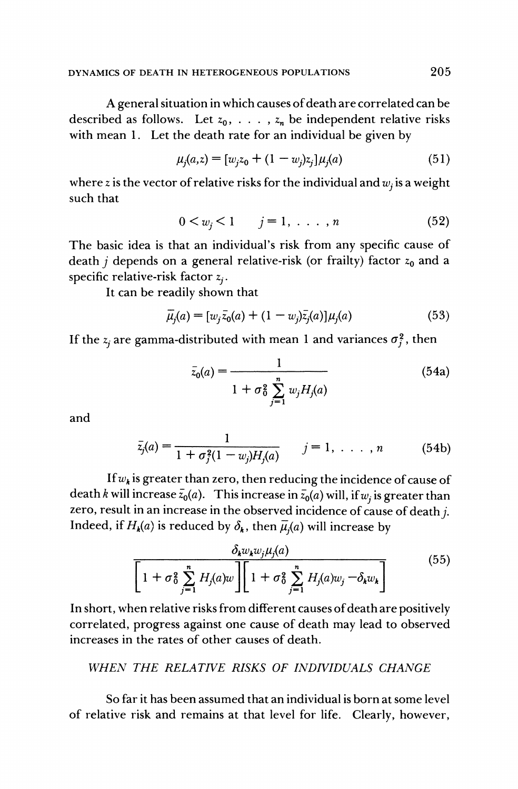**A general situation in which causes of death are correlated can be**  described as follows. Let  $z_0, \ldots, z_n$  be independent relative risks **with mean 1. Let the death rate for an individual be given by** 

$$
\mu_j(a,z) = [w_j z_0 + (1 - w_j)z_j] \mu_j(a) \tag{51}
$$

where z is the vector of relative risks for the individual and  $w_i$  is a weight **such that** 

$$
0 < w_j < 1 \qquad j = 1, \ldots, n \tag{52}
$$

**The basic idea is that an individual's risk from any specific cause of**  death *j* depends on a general relative-risk (or frailty) factor  $z_0$  and a **specific relative-risk factor zj.** 

**It can be readily shown that** 

$$
\bar{\mu}_j(a) = [w_j \bar{z}_0(a) + (1 - w_j)\bar{z}_j(a)]\mu_j(a)
$$
\n(53)

If the  $z_i$  are gamma-distributed with mean 1 and variances  $\sigma_i^2$ , then

$$
\bar{z}_0(a) = \frac{1}{1 + \sigma_0^2 \sum_{j=1}^n w_j H_j(a)} \tag{54a}
$$

**and** 

$$
\bar{z}_j(a) = \frac{1}{1 + \sigma_j^2(1 - w_j)H_j(a)} \qquad j = 1, \ldots, n \qquad (54b)
$$

If  $w_k$  is greater than zero, then reducing the incidence of cause of death k will increase  $\bar{z}_0(a)$ . This increase in  $\bar{z}_0(a)$  will, if w<sub>i</sub> is greater than zero, result in an increase in the observed incidence of cause of death *i*. Indeed, if  $H_k(a)$  is reduced by  $\delta_k$ , then  $\bar{\mu}_i(a)$  will increase by

$$
\frac{\delta_k w_k w_j \mu_j(a)}{\left[1 + \sigma_0^2 \sum_{j=1}^n H_j(a) w_j \right] \left[1 + \sigma_0^2 \sum_{j=1}^n H_j(a) w_j - \delta_k w_k \right]}
$$
(55)

**In short, when relative risks from different causes of death are positively correlated, progress against one cause of death may lead to observed increases in the rates of other causes of death.** 

# **WHEN THE RELATIVE RISKS OF INDIVIDUALS CHANGE**

**So far it has been assumed that an individual is born at some level of relative risk and remains at that level for life. Clearly, however,**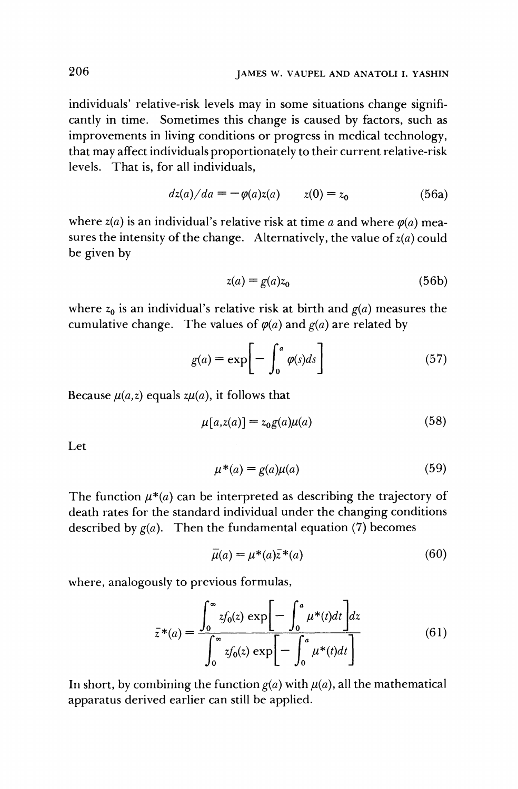**individuals' relative-risk levels may in some situations change significantly in time. Sometimes this change is caused by factors, such as improvements in living conditions or progress in medical technology, that may affect individuals proportionately to their current relative-risk levels. That is, for all individuals,** 

$$
dz(a)/da = -\varphi(a)z(a) \qquad z(0) = z_0 \tag{56a}
$$

where  $z(a)$  is an individual's relative risk at time a and where  $\varphi(a)$  measures the intensity of the change. Alternatively, the value of  $z(a)$  could **be given by** 

$$
z(a) = g(a)z_0 \tag{56b}
$$

where  $z_0$  is an individual's relative risk at birth and  $g(a)$  measures the cumulative change. The values of  $\varphi(a)$  and  $g(a)$  are related by

$$
g(a) = \exp\left[-\int_0^a \varphi(s)ds\right]
$$
 (57)

Because  $\mu(a,z)$  equals  $z\mu(a)$ , it follows that

$$
\mu[a, z(a)] = z_0 g(a) \mu(a) \tag{58}
$$

**Let** 

$$
\mu^*(a) = g(a)\mu(a) \tag{59}
$$

The function  $\mu^*(a)$  can be interpreted as describing the trajectory of **death rates for the standard individual under the changing conditions described by g(a). Then the fundamental equation (7) becomes** 

$$
\bar{\mu}(a) = \mu^*(a)\bar{z}^*(a) \tag{60}
$$

**where, analogously to previous formulas,** 

$$
\bar{z}^*(a) = \frac{\int_0^\infty z f_0(z) \exp\left[-\int_0^a \mu^*(t)dt\right] dz}{\int_0^\infty z f_0(z) \exp\left[-\int_0^a \mu^*(t)dt\right]}
$$
(61)

In short, by combining the function  $g(a)$  with  $\mu(a)$ , all the mathematical **apparatus derived earlier can still be applied.**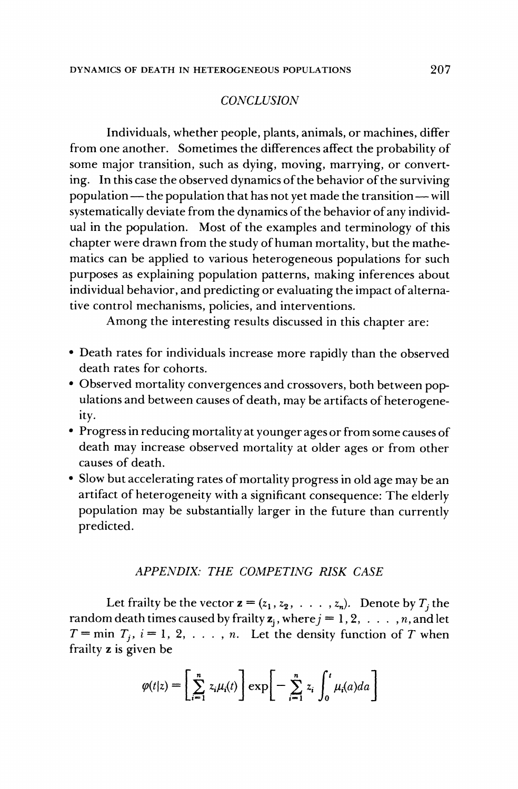#### **CONCLUSION**

**Individuals, whether people, plants, animals, or machines, differ from one another. Sometimes the differences affect the probability of some major transition, such as dying, moving, marrying, or converting. In this case the observed dynamics of the behavior of the surviving population — the population that has not yet made the transition — will systematically deviate from the dynamics of the behavior of any individual in the population. Most of the examples and terminology of this chapter were drawn from the study of human mortality, but the mathematics can be applied to various heterogeneous populations for such purposes as explaining population patterns, making inferences about individual behavior, and predicting or evaluating the impact of alternative control mechanisms, policies, and interventions.** 

**Among the interesting results discussed in this chapter are:** 

- **\* Death rates for individuals increase more rapidly than the observed death rates for cohorts.**
- **\* Observed mortality convergences and crossovers, both between populations and between causes of death, may be artifacts of heterogeneity.**
- **\* Progress in reducing mortality at younger ages or from some causes of death may increase observed mortality at older ages or from other causes of death.**
- **\* Slow but accelerating rates of mortality progress in old age may be an artifact of heterogeneity with a significant consequence: The elderly population may be substantially larger in the future than currently predicted.**

#### **APPENDIX: THE COMPETING RISK CASE**

Let frailty be the vector  $\mathbf{z} = (z_1, z_2, \ldots, z_n)$ . Denote by  $T_i$  the **random death times caused by frailty**  $z_j$ **, where**  $j = 1, 2, \ldots, n$ **, and let**  $T = \min T_i$ ,  $i = 1, 2, \ldots, n$ . Let the density function of T when **frailty z is given be** 

$$
\varphi(t|z) = \left[\sum_{i=1}^n z_i \mu_i(t)\right] \exp\left[-\sum_{i=1}^n z_i \int_0^t \mu_i(a) da\right]
$$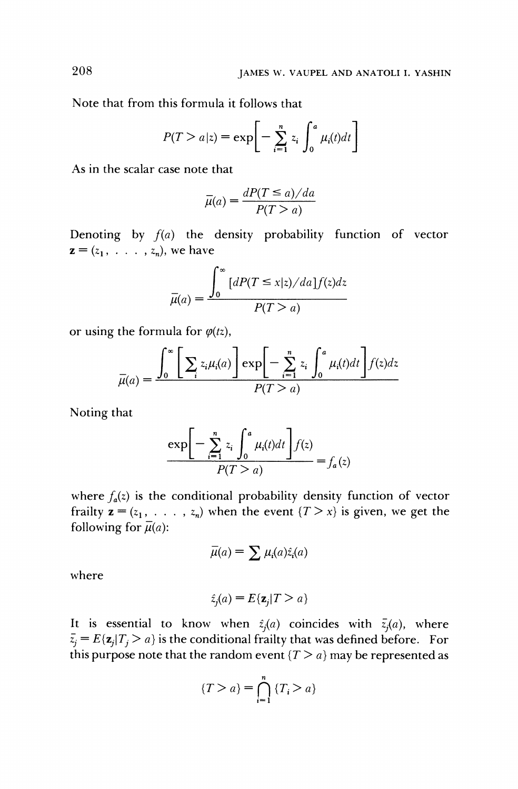**Note that from this formula it follows that** 

$$
P(T > a|z) = \exp\bigg[-\sum_{i=1}^{n} z_i \int_0^a \mu_i(t)dt\bigg]
$$

**As in the scalar case note that** 

$$
\bar{\mu}(a) = \frac{dP(T \le a)/da}{P(T > a)}
$$

**Denoting by f(a) the density probability function of vector**   $z = (z_1, \ldots, z_n)$ , we have

$$
\bar{\mu}(a) = \frac{\int_0^\infty \left[ dP(T \le x|z)/da \right] f(z) dz}{P(T > a)}
$$

or using the formula for  $\varphi(tz)$ ,

$$
\overline{\mu}(a) = \frac{\int_0^\infty \left[ \sum_i z_i \mu_i(a) \right] \exp\left[ -\sum_{i=1}^n z_i \int_0^a \mu_i(t) dt \right] f(z) dz}{P(T > a)}
$$

**Noting that** 

$$
\frac{\exp\biggl[-\sum_{i=1}^n z_i \int_0^a \mu_i(t)dt\biggr] f(z)}{P(T > a)} = f_a(z)
$$

where  $f_a(z)$  is the conditional probability density function of vector **frailty**  $z = (z_1, \ldots, z_n)$  **when the event**  $\{T > x\}$  **is given, we get the following for**  $\overline{\mu}(a)$ **:** 

$$
\overline{\mu}(a) = \sum \mu_i(a)\hat{z}_i(a)
$$

**where** 

$$
\hat{z}_j(a) = E\{\mathbf{z}_j | T > a\}
$$

It is essential to know when  $\hat{z}_i(a)$  coincides with  $\bar{z}_i(a)$ , where  $\bar{z}_i = E(z_i | T_i > a)$  is the conditional frailty that was defined before. For this purpose note that the random event  $\{T > a\}$  may be represented as

$$
\{T > a\} = \bigcap_{i=1}^{n} \{T_i > a\}
$$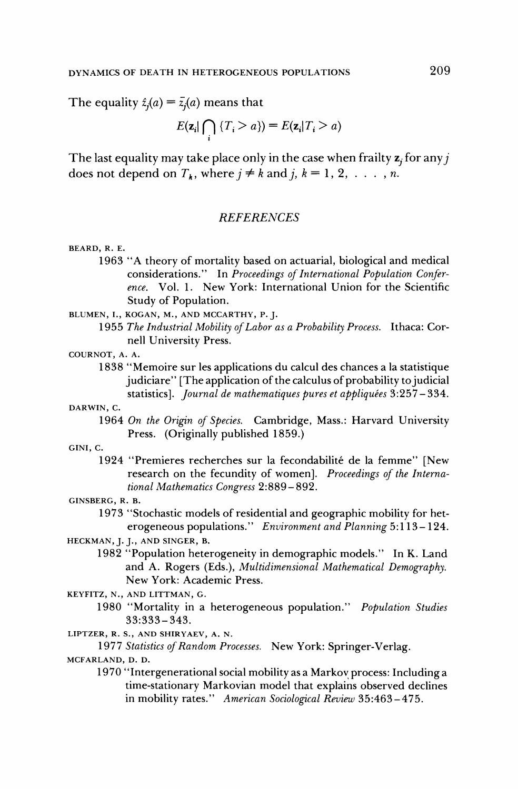The equality  $\hat{z}_i(a) = \bar{z}_i(a)$  means that

$$
E(\mathbf{z}_i | \bigcap_i \{T_i > a\}) = E(\mathbf{z}_i | T_i > a)
$$

The last equality may take place only in the case when frailty **z**, for any *i* does not depend on  $T_k$ , where  $j \neq k$  and  $j, k = 1, 2, \ldots, n$ .

#### **REFERENCES**

#### **BEARD, R. E.**

- **1963 "A theory of mortality based on actuarial, biological and medical considerations." In Proceedings of International Population Conference. Vol. 1. New York: International Union for the Scientific Study of Population.**
- **BLUMEN, I., KOGAN, M., AND MCCARTHY, P. J.** 
	- **1955 The Industrial Mobility of Labor as a Probability Process. Ithaca: Cornell University Press.**

#### **COURNOT, A. A.**

**1838 "Memoire sur les applications du calcul des chances a la statistique judiciare" [The application of the calculus of probability tojudicial**  statistics]. *Journal de mathematiques pures et appliquées* 3:257-334.

#### **DARWIN, C.**

**1964 On the Origin of Species. Cambridge, Mass.: Harvard University Press. (Originally published 1859.)** 

#### **GINI, C.**

**1924 "Premieres recherches sur la fecondabilite de la femme" [New research on the fecundity of women]. Proceedings of the International Mathematics Congress 2:889-892.** 

#### **GINSBERG, R. B.**

- **1973 "Stochastic models of residential and geographic mobility for heterogeneous populations." Environment and Planning 5:113-124.**
- **HECKMAN, J. J., AND SINGER, B.** 
	- **1982 "Population heterogeneity in demographic models." In K. Land and A. Rogers (Eds.), Multidimensional Mathematical Demography. New York: Academic Press.**

**KEYFITZ, N., AND LITTMAN, G.** 

- **1980 "Mortality in a heterogeneous population." Population Studies 33:333-343.**
- **LIPTZER, R. S., AND SHIRYAEV, A. N.**

**1977 Statistics of Random Processes. New York: Springer-Verlag.** 

#### **MCFARLAND, D. D.**

**1970 "Intergenerational social mobility as a Markov process: Including a time-stationary Markovian model that explains observed declines in mobility rates." American Sociological Review 35:463-475.**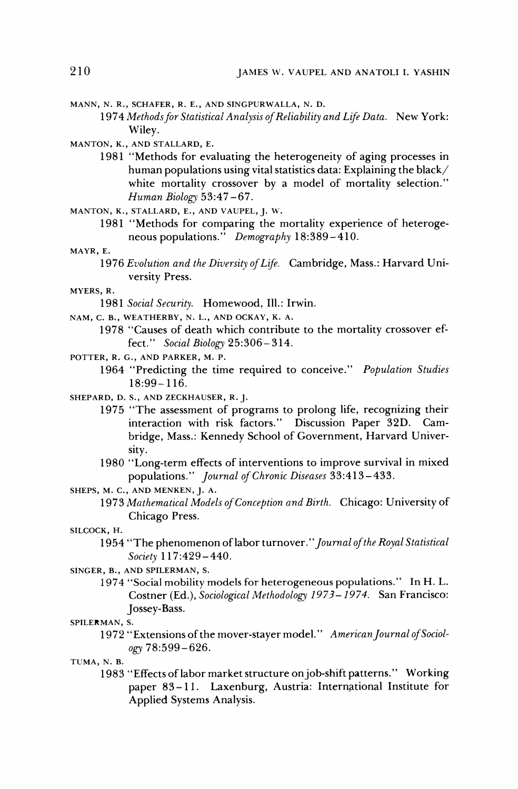- **MANN, N. R., SCHAFER, R. E., AND SINGPURWALLA, N. D.** 
	- 1974 Methods for Statistical Analysis of Reliability and Life Data. New York: **Wiley.**

**MANTON, K., AND STALLARD, E.** 

- **1981 "Methods for evaluating the heterogeneity of aging processes in human populations using vital statistics data: Explaining the black/ white mortality crossover by a model of mortality selection." Human Biology 53:47-67.**
- **MANTON, K., STALLARD, E., AND VAUPEL, J. W.** 
	- **1981 "Methods for comparing the mortality experience of heterogeneous populations." Demography 18:389-410.**

**MAYR, E.** 

**1976 Evolution and the Diversity of Life. Cambridge, Mass.: Harvard University Press.** 

**MYERS, R.** 

- **1981 Social Security. Homewood, Ill.: Irwin.**
- **NAM, C. B., WEATHERBY, N. L., AND OCKAY, K. A.** 
	- **1978 "Causes of death which contribute to the mortality crossover effect." Social Biology 25:306-314.**
- **POTTER, R. G., AND PARKER, M. P.** 
	- **1964 "Predicting the time required to conceive." Population Studies 18:99-116.**
- **SHEPARD, D. S., AND ZECKHAUSER, R. J.** 
	- **1975 "The assessment of programs to prolong life, recognizing their interaction with risk factors." Discussion Paper 32D. Cambridge, Mass.: Kennedy School of Government, Harvard University.**
	- **1980 "Long-term effects of interventions to improve survival in mixed populations." Journal of Chronic Diseases 33:413-433.**
- **SHEPS, M. C., AND MENKEN, J. A.** 
	- **1973 Mathematical Models of Conception and Birth. Chicago: University of Chicago Press.**

**SILCOCK, H.** 

- **1954 "The phenomenon of labor turnover."Journal of the Royal Statistical Society 117:429-440.**
- **SINGER, B., AND SPILERMAN, S.** 
	- **1974 "Social mobility models for heterogeneous populations." In H. L. Costner (Ed.), Sociological Methodology 1973- 1974. San Francisco: Jossey-Bass.**

**SPILERMAN, S.** 

**1972 "Extensions of the mover-stayer model." AmericanJournal of Sociology 78:599-626.** 

**TUMA, N. B.** 

**1983 "Effects of labor market structure onjob-shift patterns." Working paper 83-11. Laxenburg, Austria: International Institute for Applied Systems Analysis.**